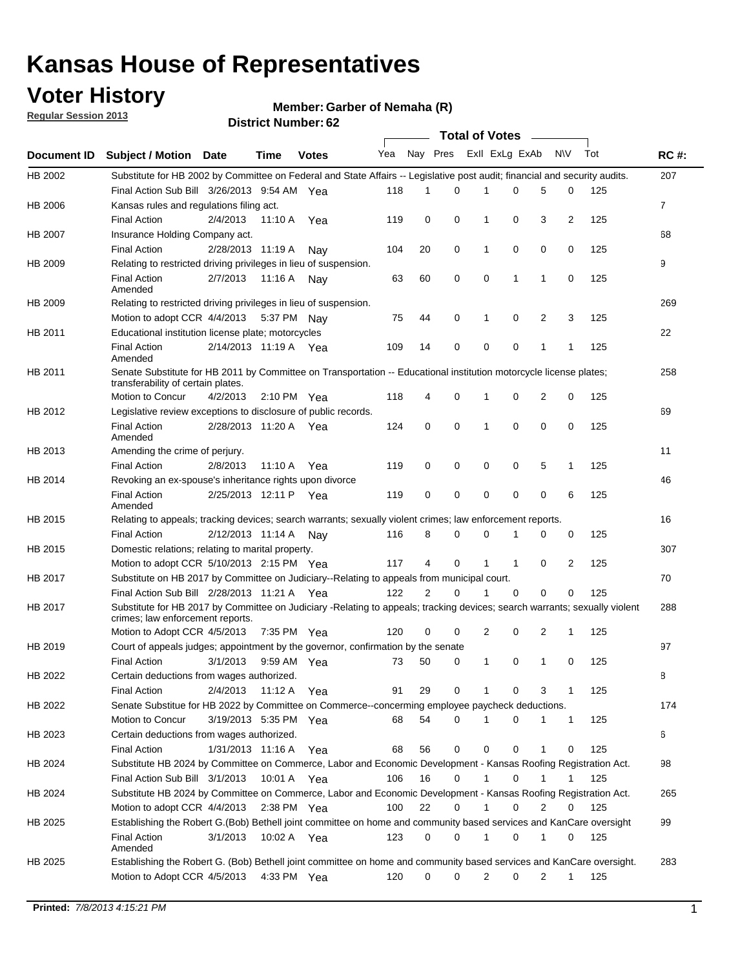## **Voter History**

**Member: Garber of Nemaha (R)** 

**Regular Session 2013**

|             |                                                                                                                                                                |                       | אט הסעוווטנו וענושט   |              |                             |    | <b>Total of Votes</b> |                |              |                |                |     |                |
|-------------|----------------------------------------------------------------------------------------------------------------------------------------------------------------|-----------------------|-----------------------|--------------|-----------------------------|----|-----------------------|----------------|--------------|----------------|----------------|-----|----------------|
| Document ID | <b>Subject / Motion Date</b>                                                                                                                                   |                       | <b>Time</b>           | <b>Votes</b> | Yea Nay Pres ExII ExLg ExAb |    |                       |                |              |                | <b>NV</b>      | Tot | <b>RC#:</b>    |
| HB 2002     | Substitute for HB 2002 by Committee on Federal and State Affairs -- Legislative post audit; financial and security audits.                                     |                       |                       |              |                             |    |                       |                |              |                |                |     | 207            |
|             | Final Action Sub Bill 3/26/2013 9:54 AM Yea                                                                                                                    |                       |                       |              | 118                         | 1  | $\Omega$              |                | 0            | 5              | 0              | 125 |                |
| HB 2006     | Kansas rules and regulations filing act.                                                                                                                       |                       |                       |              |                             |    |                       |                |              |                |                |     | $\overline{7}$ |
|             | <b>Final Action</b>                                                                                                                                            | 2/4/2013              | 11:10 A Yea           |              | 119                         | 0  | 0                     | 1              | 0            | 3              | $\overline{2}$ | 125 |                |
| HB 2007     | Insurance Holding Company act.                                                                                                                                 |                       |                       |              |                             |    |                       |                |              |                |                |     | 68             |
|             | <b>Final Action</b>                                                                                                                                            | 2/28/2013 11:19 A     |                       | Nav          | 104                         | 20 | 0                     | 1              | 0            | 0              | 0              | 125 |                |
| HB 2009     | Relating to restricted driving privileges in lieu of suspension.                                                                                               |                       |                       |              |                             |    |                       |                |              |                |                |     | 9              |
|             | <b>Final Action</b><br>Amended                                                                                                                                 | 2/7/2013              | 11:16 A Nay           |              | 63                          | 60 | 0                     | 0              | 1            | 1              | 0              | 125 |                |
| HB 2009     | Relating to restricted driving privileges in lieu of suspension.                                                                                               |                       |                       |              |                             |    |                       |                |              |                |                |     | 269            |
|             | Motion to adopt CCR 4/4/2013                                                                                                                                   |                       | 5:37 PM Nav           |              | 75                          | 44 | 0                     | 1              | 0            | 2              | 3              | 125 |                |
| HB 2011     | Educational institution license plate; motorcycles                                                                                                             |                       |                       |              |                             |    |                       |                |              |                |                |     | 22             |
|             | <b>Final Action</b><br>Amended                                                                                                                                 | 2/14/2013 11:19 A Yea |                       |              | 109                         | 14 | 0                     | 0              | 0            | 1              | 1              | 125 |                |
| HB 2011     | Senate Substitute for HB 2011 by Committee on Transportation -- Educational institution motorcycle license plates;<br>transferability of certain plates.       |                       |                       |              |                             |    |                       |                |              |                |                |     | 258            |
|             | Motion to Concur                                                                                                                                               | 4/2/2013              | $2:10 \text{ PM}$ Yea |              | 118                         | 4  | 0                     | 1              | 0            | $\overline{2}$ | 0              | 125 |                |
| HB 2012     | Legislative review exceptions to disclosure of public records.                                                                                                 |                       |                       |              |                             |    |                       |                |              |                |                |     | 69             |
|             | <b>Final Action</b><br>Amended                                                                                                                                 | 2/28/2013 11:20 A Yea |                       |              | 124                         | 0  | 0                     | 1              | 0            | 0              | 0              | 125 |                |
| HB 2013     | Amending the crime of perjury.                                                                                                                                 |                       |                       |              |                             |    |                       |                |              |                |                |     | 11             |
|             | <b>Final Action</b>                                                                                                                                            | 2/8/2013              | 11:10 A               | Yea          | 119                         | 0  | 0                     | 0              | 0            | 5              | 1              | 125 |                |
| HB 2014     | Revoking an ex-spouse's inheritance rights upon divorce                                                                                                        |                       |                       |              |                             |    |                       |                |              |                |                |     | 46             |
|             | <b>Final Action</b>                                                                                                                                            | 2/25/2013 12:11 P     |                       | Yea          | 119                         | 0  | 0                     | 0              | 0            | $\mathbf 0$    | 6              | 125 |                |
|             | Amended                                                                                                                                                        |                       |                       |              |                             |    |                       |                |              |                |                |     |                |
| HB 2015     | Relating to appeals; tracking devices; search warrants; sexually violent crimes; law enforcement reports.                                                      |                       |                       |              |                             |    |                       |                |              |                |                |     | 16             |
|             | <b>Final Action</b>                                                                                                                                            | 2/12/2013 11:14 A     |                       | Nav          | 116                         | 8  | 0                     | 0              | 1            | 0              | 0              | 125 |                |
| HB 2015     | Domestic relations; relating to marital property.                                                                                                              |                       |                       |              |                             |    |                       |                |              |                |                |     | 307            |
|             | Motion to adopt CCR 5/10/2013 2:15 PM Yea                                                                                                                      |                       |                       |              | 117                         | 4  | 0                     | $\mathbf{1}$   | $\mathbf{1}$ | 0              | $\overline{2}$ | 125 |                |
| HB 2017     | Substitute on HB 2017 by Committee on Judiciary--Relating to appeals from municipal court.                                                                     |                       |                       |              |                             |    |                       |                |              |                |                |     | 70             |
|             | Final Action Sub Bill 2/28/2013 11:21 A Yea                                                                                                                    |                       |                       |              | 122                         | 2  | 0                     | 1              | 0            | 0              | 0              | 125 |                |
| HB 2017     | Substitute for HB 2017 by Committee on Judiciary -Relating to appeals; tracking devices; search warrants; sexually violent<br>crimes; law enforcement reports. |                       |                       |              |                             |    |                       |                |              |                |                |     | 288            |
|             | Motion to Adopt CCR 4/5/2013                                                                                                                                   |                       | 7:35 PM Yea           |              | 120                         | 0  | 0                     | $\overline{2}$ | 0            | 2              | 1              | 125 |                |
| HB 2019     | Court of appeals judges; appointment by the governor, confirmation by the senate                                                                               |                       |                       |              |                             |    |                       |                |              |                |                |     | 97             |
|             | <b>Final Action</b>                                                                                                                                            | 3/1/2013              | 9:59 AM Yea           |              | 73                          | 50 | 0                     | $\mathbf{1}$   | 0            | 1              | 0              | 125 |                |
| HB 2022     | Certain deductions from wages authorized.                                                                                                                      |                       |                       |              |                             |    |                       |                |              |                |                |     | 8              |
|             | <b>Final Action</b>                                                                                                                                            | 2/4/2013              | 11:12 A               | Yea          | 91                          | 29 | 0                     |                | 0            | 3              | 1              | 125 |                |
| HB 2022     | Senate Substitue for HB 2022 by Committee on Commerce--concerming employee paycheck deductions.                                                                |                       |                       |              |                             |    |                       |                |              |                |                |     | 174            |
|             | Motion to Concur                                                                                                                                               | 3/19/2013 5:35 PM Yea |                       |              | 68                          | 54 | 0                     | 1              | 0            | 1              | $\mathbf{1}$   | 125 |                |
| HB 2023     | Certain deductions from wages authorized.                                                                                                                      |                       |                       |              |                             |    |                       |                |              |                |                |     | 6              |
|             | <b>Final Action</b>                                                                                                                                            | 1/31/2013 11:16 A     |                       | Yea          | 68                          | 56 | 0                     | 0              | 0            | 1              | 0              | 125 |                |
| HB 2024     | Substitute HB 2024 by Committee on Commerce, Labor and Economic Development - Kansas Roofing Registration Act.                                                 |                       |                       |              |                             |    |                       |                |              |                |                |     | 98             |
|             | Final Action Sub Bill 3/1/2013                                                                                                                                 |                       | 10:01 A Yea           |              | 106                         | 16 | 0                     | 1              | 0            | 1              | 1              | 125 |                |
| HB 2024     | Substitute HB 2024 by Committee on Commerce, Labor and Economic Development - Kansas Roofing Registration Act.                                                 |                       |                       |              |                             |    |                       |                |              |                |                |     | 265            |
|             | Motion to adopt CCR 4/4/2013                                                                                                                                   |                       | 2:38 PM Yea           |              | 100                         | 22 | 0                     | $\mathbf{1}$   | 0            | 2              | 0              | 125 |                |
| HB 2025     | Establishing the Robert G.(Bob) Bethell joint committee on home and community based services and KanCare oversight                                             |                       |                       |              |                             |    |                       |                |              |                |                |     | 99             |
|             | <b>Final Action</b><br>Amended                                                                                                                                 | 3/1/2013              | 10:02 A Yea           |              | 123                         | 0  | 0                     | 1              | 0            | 1              | 0              | 125 |                |
| HB 2025     | Establishing the Robert G. (Bob) Bethell joint committee on home and community based services and KanCare oversight.                                           |                       |                       |              |                             |    |                       |                |              |                |                |     | 283            |
|             | Motion to Adopt CCR 4/5/2013                                                                                                                                   |                       | 4:33 PM Yea           |              | 120                         | 0  | 0                     | 2              | 0            | $\overline{2}$ | 1              | 125 |                |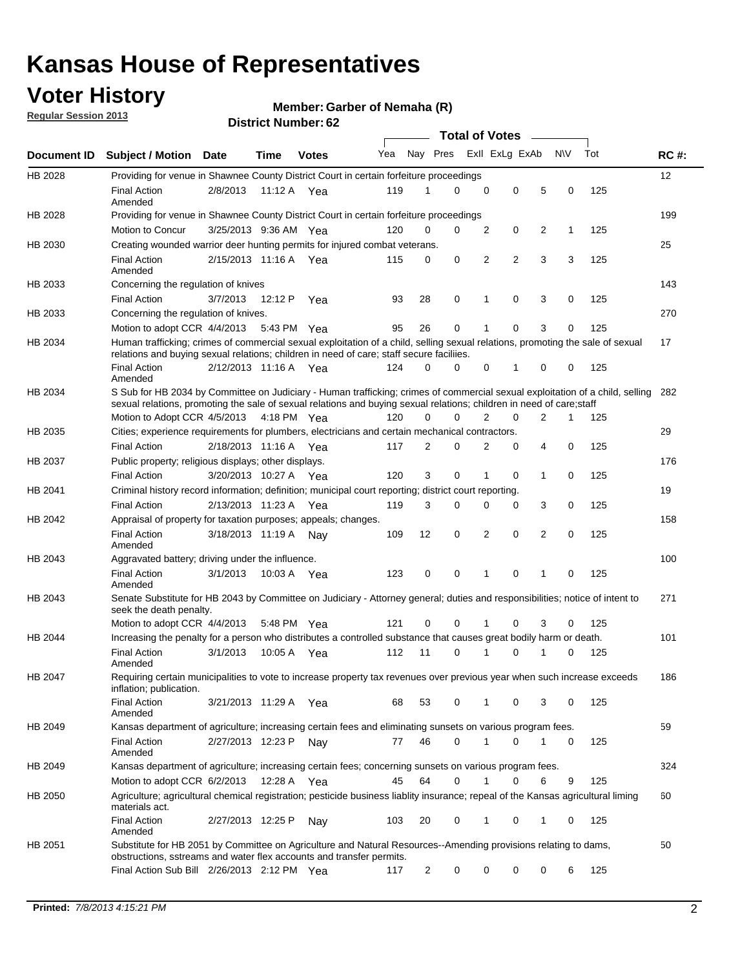## **Voter History**

**Member: Garber of Nemaha (R)** 

**Regular Session 2013**

|             |                                                                                                                                                                                                                                                       |                       |         |              |     |                | <b>Total of Votes</b> |   |                |                |           |     |             |
|-------------|-------------------------------------------------------------------------------------------------------------------------------------------------------------------------------------------------------------------------------------------------------|-----------------------|---------|--------------|-----|----------------|-----------------------|---|----------------|----------------|-----------|-----|-------------|
| Document ID | <b>Subject / Motion Date</b>                                                                                                                                                                                                                          |                       | Time    | <b>Votes</b> | Yea | Nay Pres       |                       |   | Exll ExLg ExAb |                | <b>NV</b> | Tot | <b>RC#:</b> |
| HB 2028     | Providing for venue in Shawnee County District Court in certain forfeiture proceedings                                                                                                                                                                |                       |         |              |     |                |                       |   |                |                |           |     | 12          |
|             | <b>Final Action</b><br>Amended                                                                                                                                                                                                                        | 2/8/2013              |         | 11:12 A Yea  | 119 | 1              | $\Omega$              | 0 | 0              | 5              | 0         | 125 |             |
| HB 2028     | Providing for venue in Shawnee County District Court in certain forfeiture proceedings                                                                                                                                                                |                       |         |              |     |                |                       |   |                |                |           |     | 199         |
|             | Motion to Concur                                                                                                                                                                                                                                      | 3/25/2013 9:36 AM Yea |         |              | 120 | 0              | 0                     | 2 | 0              | 2              | 1         | 125 |             |
| HB 2030     | Creating wounded warrior deer hunting permits for injured combat veterans.                                                                                                                                                                            |                       |         |              |     |                |                       |   |                |                |           |     | 25          |
|             | <b>Final Action</b><br>Amended                                                                                                                                                                                                                        | 2/15/2013 11:16 A     |         | Yea          | 115 | 0              | 0                     | 2 | $\overline{2}$ | 3              | 3         | 125 |             |
| HB 2033     | Concerning the regulation of knives                                                                                                                                                                                                                   |                       |         |              |     |                |                       |   |                |                |           |     | 143         |
|             | <b>Final Action</b>                                                                                                                                                                                                                                   | 3/7/2013              | 12:12 P | Yea          | 93  | 28             | 0                     | 1 | 0              | 3              | 0         | 125 |             |
| HB 2033     | Concerning the regulation of knives.                                                                                                                                                                                                                  |                       |         |              |     |                |                       |   |                |                |           |     | 270         |
|             | Motion to adopt CCR 4/4/2013                                                                                                                                                                                                                          |                       |         | 5:43 PM Yea  | 95  | 26             | 0                     |   | 0              | 3              | 0         | 125 |             |
| HB 2034     | Human trafficking; crimes of commercial sexual exploitation of a child, selling sexual relations, promoting the sale of sexual<br>relations and buying sexual relations; children in need of care; staff secure faciliies.                            |                       |         |              |     |                |                       |   |                |                |           |     | 17          |
|             | <b>Final Action</b><br>Amended                                                                                                                                                                                                                        | 2/12/2013 11:16 A Yea |         |              | 124 | $\Omega$       | $\Omega$              | 0 | 1              | 0              | 0         | 125 |             |
| HB 2034     | S Sub for HB 2034 by Committee on Judiciary - Human trafficking; crimes of commercial sexual exploitation of a child, selling<br>sexual relations, promoting the sale of sexual relations and buying sexual relations; children in need of care;staff |                       |         |              |     |                |                       |   |                |                |           |     | 282         |
|             | Motion to Adopt CCR 4/5/2013 4:18 PM Yea                                                                                                                                                                                                              |                       |         |              | 120 | 0              | 0                     | 2 | 0              | $\overline{2}$ | 1         | 125 |             |
| HB 2035     | Cities; experience requirements for plumbers, electricians and certain mechanical contractors.                                                                                                                                                        |                       |         |              |     |                |                       |   |                |                |           |     | 29          |
|             | <b>Final Action</b>                                                                                                                                                                                                                                   | 2/18/2013 11:16 A     |         | Yea          | 117 | 2              | 0                     | 2 | 0              | 4              | 0         | 125 |             |
| HB 2037     | Public property; religious displays; other displays.                                                                                                                                                                                                  |                       |         |              |     |                |                       |   |                |                |           |     | 176         |
|             | <b>Final Action</b>                                                                                                                                                                                                                                   | 3/20/2013 10:27 A     |         | Yea          | 120 | 3              | 0                     | 1 | 0              | 1              | 0         | 125 |             |
| HB 2041     | Criminal history record information; definition; municipal court reporting; district court reporting.                                                                                                                                                 |                       |         |              |     |                |                       |   |                |                |           |     | 19          |
|             | <b>Final Action</b>                                                                                                                                                                                                                                   | 2/13/2013 11:23 A     |         | Yea          | 119 | 3              | 0                     | 0 | 0              | 3              | 0         | 125 |             |
| HB 2042     | Appraisal of property for taxation purposes; appeals; changes.                                                                                                                                                                                        |                       |         |              |     |                |                       |   |                |                |           |     | 158         |
|             | <b>Final Action</b><br>Amended                                                                                                                                                                                                                        | 3/18/2013 11:19 A     |         | Nav          | 109 | 12             | 0                     | 2 | 0              | 2              | 0         | 125 |             |
| HB 2043     | Aggravated battery; driving under the influence.                                                                                                                                                                                                      |                       |         |              |     |                |                       |   |                |                |           |     | 100         |
|             | <b>Final Action</b><br>Amended                                                                                                                                                                                                                        | 3/1/2013              |         | 10:03 A Yea  | 123 | 0              | 0                     |   | 0              | 1              | 0         | 125 |             |
| HB 2043     | Senate Substitute for HB 2043 by Committee on Judiciary - Attorney general; duties and responsibilities; notice of intent to<br>seek the death penalty.                                                                                               |                       |         |              |     |                |                       |   |                |                |           |     | 271         |
|             | Motion to adopt CCR 4/4/2013                                                                                                                                                                                                                          |                       |         | 5:48 PM Yea  | 121 | 0              | 0                     |   | 0              | 3              | 0         | 125 |             |
| HB 2044     | Increasing the penalty for a person who distributes a controlled substance that causes great bodily harm or death.                                                                                                                                    |                       |         |              |     |                |                       |   |                |                |           |     | 101         |
|             | <b>Final Action</b><br>Amended                                                                                                                                                                                                                        | 3/1/2013              | 10:05 A | Yea          | 112 | 11             | 0                     |   | 0              |                | 0         | 125 |             |
| HB 2047     | Requiring certain municipalities to vote to increase property tax revenues over previous year when such increase exceeds<br>inflation; publication.                                                                                                   |                       |         |              |     |                |                       |   |                |                |           |     | 186         |
|             | <b>Final Action</b><br>Amended                                                                                                                                                                                                                        | 3/21/2013 11:29 A Yea |         |              | 68  | 53             | 0                     |   | 0              | 3              | 0         | 125 |             |
| HB 2049     | Kansas department of agriculture; increasing certain fees and eliminating sunsets on various program fees.                                                                                                                                            |                       |         |              |     |                |                       |   |                |                |           |     | 59          |
|             | <b>Final Action</b><br>Amended                                                                                                                                                                                                                        | 2/27/2013 12:23 P     |         | Nav          | 77  | 46             | 0                     | 1 | 0              | 1              | 0         | 125 |             |
| HB 2049     | Kansas department of agriculture; increasing certain fees; concerning sunsets on various program fees.                                                                                                                                                |                       |         |              |     |                |                       |   |                |                |           |     | 324         |
|             | Motion to adopt CCR 6/2/2013                                                                                                                                                                                                                          |                       | 12:28 A | Yea          | 45  | 64             | 0                     |   | 0              | 6              | 9         | 125 |             |
| HB 2050     | Agriculture; agricultural chemical registration; pesticide business liablity insurance; repeal of the Kansas agricultural liming<br>materials act.                                                                                                    |                       |         |              |     |                |                       |   |                |                |           |     | 60          |
|             | <b>Final Action</b><br>Amended                                                                                                                                                                                                                        | 2/27/2013 12:25 P     |         | Nay          | 103 | 20             | 0                     | 1 | 0              | 1              | 0         | 125 |             |
| HB 2051     | Substitute for HB 2051 by Committee on Agriculture and Natural Resources--Amending provisions relating to dams,<br>obstructions, sstreams and water flex accounts and transfer permits.                                                               |                       |         |              |     |                |                       |   |                |                |           |     | 50          |
|             | Final Action Sub Bill 2/26/2013 2:12 PM Yea                                                                                                                                                                                                           |                       |         |              | 117 | $\overline{c}$ | 0                     | 0 | 0              | 0              | 6         | 125 |             |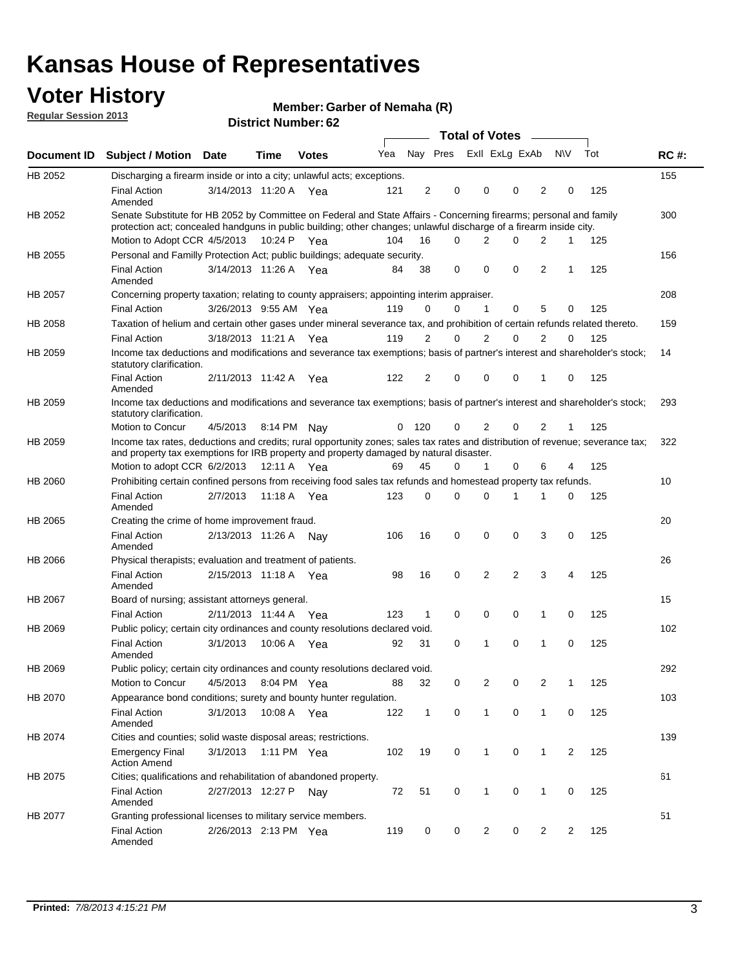## **Voter History**

**Member: Garber of Nemaha (R)** 

**Regular Session 2013**

|             |                                                                                                                                                                                                                                          |                       |             |              |     |              |                         | <b>Total of Votes</b> |                |                | $\frac{1}{2}$  |                |     |             |
|-------------|------------------------------------------------------------------------------------------------------------------------------------------------------------------------------------------------------------------------------------------|-----------------------|-------------|--------------|-----|--------------|-------------------------|-----------------------|----------------|----------------|----------------|----------------|-----|-------------|
| Document ID | <b>Subject / Motion Date</b>                                                                                                                                                                                                             |                       | Time        | <b>Votes</b> | Yea |              | Nay Pres Exll ExLg ExAb |                       |                |                |                | <b>NV</b>      | Tot | <b>RC#:</b> |
| HB 2052     | Discharging a firearm inside or into a city; unlawful acts; exceptions.                                                                                                                                                                  |                       |             |              |     |              |                         |                       |                |                |                |                |     | 155         |
|             | <b>Final Action</b><br>Amended                                                                                                                                                                                                           | 3/14/2013 11:20 A Yea |             |              | 121 | 2            | 0                       |                       | 0              | 0              | 2              | 0              | 125 |             |
| HB 2052     | Senate Substitute for HB 2052 by Committee on Federal and State Affairs - Concerning firearms; personal and family<br>protection act; concealed handguns in public building; other changes; unlawful discharge of a firearm inside city. |                       |             |              |     |              |                         |                       |                |                |                |                |     | 300         |
|             | Motion to Adopt CCR 4/5/2013 10:24 P Yea                                                                                                                                                                                                 |                       |             |              | 104 | 16           | $\Omega$                |                       | 2              | 0              | $\overline{2}$ | $\mathbf 1$    | 125 |             |
| HB 2055     | Personal and Familly Protection Act; public buildings; adequate security.                                                                                                                                                                |                       |             |              |     |              |                         |                       |                |                |                |                |     | 156         |
|             | <b>Final Action</b><br>Amended                                                                                                                                                                                                           | 3/14/2013 11:26 A Yea |             |              | 84  | 38           | 0                       |                       | $\mathbf 0$    | 0              | 2              | 1              | 125 |             |
| HB 2057     | Concerning property taxation; relating to county appraisers; appointing interim appraiser.                                                                                                                                               |                       |             |              |     |              |                         |                       |                |                |                |                |     | 208         |
|             | <b>Final Action</b>                                                                                                                                                                                                                      | 3/26/2013 9:55 AM Yea |             |              | 119 | 0            | 0                       |                       | $\mathbf{1}$   | 0              | 5              | 0              | 125 |             |
| HB 2058     | Taxation of helium and certain other gases under mineral severance tax, and prohibition of certain refunds related thereto.                                                                                                              |                       |             |              |     |              |                         |                       |                |                |                |                |     | 159         |
|             | <b>Final Action</b>                                                                                                                                                                                                                      | 3/18/2013 11:21 A Yea |             |              | 119 | 2            | 0                       |                       | 2              | $\Omega$       | $\overline{2}$ | $\Omega$       | 125 |             |
| HB 2059     | Income tax deductions and modifications and severance tax exemptions; basis of partner's interest and shareholder's stock;<br>statutory clarification.                                                                                   |                       |             |              |     |              |                         |                       |                |                |                |                |     | 14          |
|             | <b>Final Action</b><br>Amended                                                                                                                                                                                                           | 2/11/2013 11:42 A     |             | Yea          | 122 | 2            | 0                       |                       | 0              | 0              | 1              | 0              | 125 |             |
| HB 2059     | Income tax deductions and modifications and severance tax exemptions; basis of partner's interest and shareholder's stock;<br>statutory clarification.                                                                                   |                       |             |              |     |              |                         |                       |                |                |                |                |     | 293         |
|             | Motion to Concur                                                                                                                                                                                                                         | 4/5/2013              | 8:14 PM     | Nav          | 0   | 120          | 0                       |                       | 2              | 0              | 2              | 1              | 125 |             |
| HB 2059     | Income tax rates, deductions and credits; rural opportunity zones; sales tax rates and distribution of revenue; severance tax;<br>and property tax exemptions for IRB property and property damaged by natural disaster.                 |                       |             |              |     |              |                         |                       |                |                |                |                |     | 322         |
|             | Motion to adopt CCR 6/2/2013                                                                                                                                                                                                             |                       | 12:11 A     | Yea          | 69  | 45           | 0                       |                       | 1              | 0              | 6              | 4              | 125 |             |
| HB 2060     | Prohibiting certain confined persons from receiving food sales tax refunds and homestead property tax refunds.                                                                                                                           |                       |             |              |     |              |                         |                       |                |                |                |                |     | 10          |
|             | <b>Final Action</b><br>Amended                                                                                                                                                                                                           | 2/7/2013              | 11:18 A     | Yea          | 123 | 0            | 0                       |                       | 0              | 1              | 1              | 0              | 125 |             |
| HB 2065     | Creating the crime of home improvement fraud.                                                                                                                                                                                            |                       |             |              |     |              |                         |                       |                |                |                |                |     | 20          |
|             | <b>Final Action</b><br>Amended                                                                                                                                                                                                           | 2/13/2013 11:26 A     |             | Nav          | 106 | 16           | $\mathbf 0$             |                       | 0              | 0              | 3              | 0              | 125 |             |
| HB 2066     | Physical therapists; evaluation and treatment of patients.                                                                                                                                                                               |                       |             |              |     |              |                         |                       |                |                |                |                |     | 26          |
|             | <b>Final Action</b><br>Amended                                                                                                                                                                                                           | 2/15/2013 11:18 A Yea |             |              | 98  | 16           | 0                       |                       | 2              | $\overline{2}$ | 3              | 4              | 125 |             |
| HB 2067     | Board of nursing; assistant attorneys general.                                                                                                                                                                                           |                       |             |              |     |              |                         |                       |                |                |                |                |     | 15          |
|             | <b>Final Action</b>                                                                                                                                                                                                                      | 2/11/2013 11:44 A     |             | Yea          | 123 | 1            | $\mathbf 0$             |                       | $\mathbf 0$    | 0              | 1              | 0              | 125 |             |
| HB 2069     | Public policy; certain city ordinances and county resolutions declared void.                                                                                                                                                             |                       |             |              |     |              |                         |                       |                |                |                |                |     | 102         |
|             | <b>Final Action</b><br>Amended                                                                                                                                                                                                           | 3/1/2013              | 10:06 A     | Yea          | 92  | 31           | $\mathbf 0$             |                       | 1              | 0              | 1              | $\mathbf 0$    | 125 |             |
| HB 2069     | Public policy; certain city ordinances and county resolutions declared void.                                                                                                                                                             |                       |             |              |     |              |                         |                       |                |                |                |                |     | 292         |
|             | Motion to Concur                                                                                                                                                                                                                         | 4/5/2013              | 8:04 PM Yea |              | 88  | 32           | 0                       |                       | $\overline{2}$ | 0              | $\overline{2}$ | 1              | 125 |             |
| HB 2070     | Appearance bond conditions; surety and bounty hunter regulation.                                                                                                                                                                         |                       |             |              |     |              |                         |                       |                |                |                |                |     | 103         |
|             | <b>Final Action</b><br>Amended                                                                                                                                                                                                           | 3/1/2013              |             | 10:08 A Yea  | 122 | $\mathbf{1}$ | $\mathbf 0$             |                       | $\mathbf{1}$   | 0              | $\mathbf{1}$   | 0              | 125 |             |
| HB 2074     | Cities and counties; solid waste disposal areas; restrictions.                                                                                                                                                                           |                       |             |              |     |              |                         |                       |                |                |                |                |     | 139         |
|             | <b>Emergency Final</b><br><b>Action Amend</b>                                                                                                                                                                                            | 3/1/2013              |             | 1:11 PM Yea  | 102 | 19           | 0                       |                       | $\mathbf{1}$   | 0              | 1              | $\overline{2}$ | 125 |             |
| HB 2075     | Cities; qualifications and rehabilitation of abandoned property.                                                                                                                                                                         |                       |             |              |     |              |                         |                       |                |                |                |                |     | 61          |
|             | <b>Final Action</b><br>Amended                                                                                                                                                                                                           | 2/27/2013 12:27 P     |             | Nay          | 72  | 51           | 0                       |                       | 1              | 0              | 1              | 0              | 125 |             |
| HB 2077     | Granting professional licenses to military service members.                                                                                                                                                                              |                       |             |              |     |              |                         |                       |                |                |                |                |     | 51          |
|             | <b>Final Action</b><br>Amended                                                                                                                                                                                                           | 2/26/2013 2:13 PM Yea |             |              | 119 | 0            | 0                       |                       | $\overline{2}$ | 0              | $\overline{2}$ | 2              | 125 |             |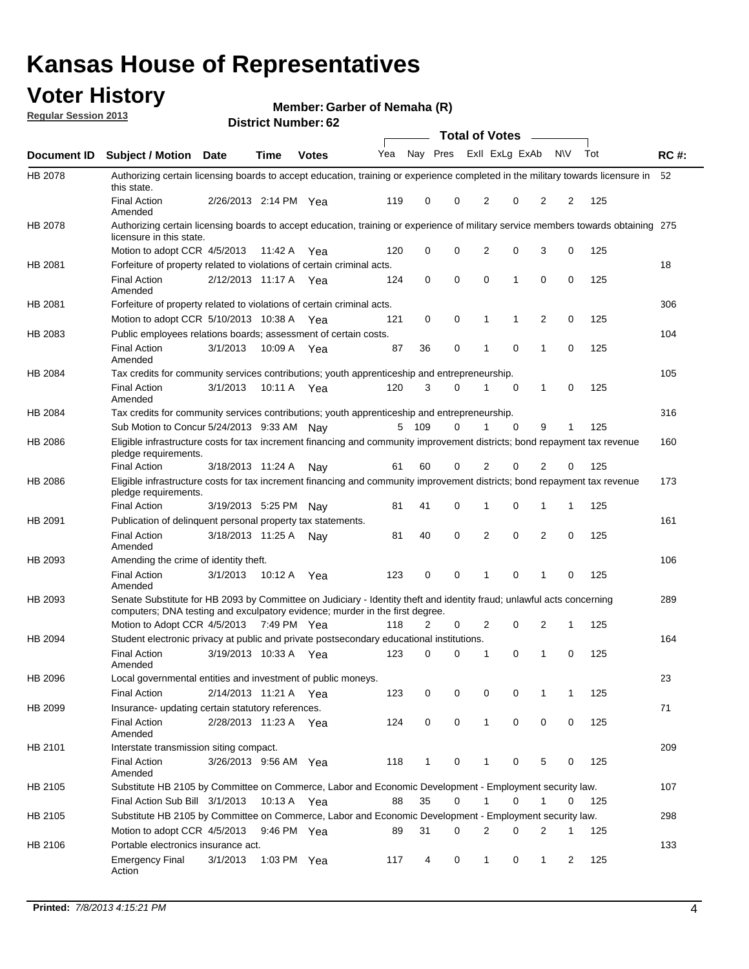## **Voter History**

**Member: Garber of Nemaha (R)** 

**Regular Session 2013**

|             |                                                                                                                                                                                                       |                       | אט הסעוווטנו ועוווסוט |              |     |              |             | <b>Total of Votes</b> |   | $\sim$         |           |     |             |
|-------------|-------------------------------------------------------------------------------------------------------------------------------------------------------------------------------------------------------|-----------------------|-----------------------|--------------|-----|--------------|-------------|-----------------------|---|----------------|-----------|-----|-------------|
| Document ID | <b>Subject / Motion Date</b>                                                                                                                                                                          |                       | <b>Time</b>           | <b>Votes</b> | Yea | Nay Pres     |             | Exll ExLg ExAb        |   |                | <b>NV</b> | Tot | <b>RC#:</b> |
| HB 2078     | Authorizing certain licensing boards to accept education, training or experience completed in the military towards licensure in<br>this state.                                                        |                       |                       |              |     |              |             |                       |   |                |           |     | 52          |
|             | <b>Final Action</b><br>Amended                                                                                                                                                                        | 2/26/2013 2:14 PM Yea |                       |              | 119 | 0            | 0           | 2                     | 0 | 2              | 2         | 125 |             |
| HB 2078     | Authorizing certain licensing boards to accept education, training or experience of military service members towards obtaining 275<br>licensure in this state.                                        |                       |                       |              |     |              |             |                       |   |                |           |     |             |
|             | Motion to adopt CCR 4/5/2013                                                                                                                                                                          |                       | 11:42 A               | Yea          | 120 | 0            | $\mathbf 0$ | $\overline{2}$        | 0 | 3              | 0         | 125 |             |
| HB 2081     | Forfeiture of property related to violations of certain criminal acts.                                                                                                                                |                       |                       |              |     |              |             |                       |   |                |           |     | 18          |
|             | <b>Final Action</b><br>Amended                                                                                                                                                                        | 2/12/2013 11:17 A Yea |                       |              | 124 | 0            | 0           | $\Omega$              | 1 | 0              | 0         | 125 |             |
| HB 2081     | Forfeiture of property related to violations of certain criminal acts.                                                                                                                                |                       |                       |              |     |              |             |                       |   |                |           |     | 306         |
|             | Motion to adopt CCR 5/10/2013 10:38 A                                                                                                                                                                 |                       |                       | Yea          | 121 | 0            | 0           | 1                     | 1 | 2              | 0         | 125 |             |
| HB 2083     | Public employees relations boards; assessment of certain costs.                                                                                                                                       |                       |                       |              |     |              |             |                       |   |                |           |     | 104         |
|             | <b>Final Action</b><br>Amended                                                                                                                                                                        | 3/1/2013              | 10:09 A               | Yea          | 87  | 36           | 0           | 1                     | 0 | 1              | 0         | 125 |             |
| HB 2084     | Tax credits for community services contributions; youth apprenticeship and entrepreneurship.                                                                                                          |                       |                       |              |     |              |             |                       |   |                |           |     | 105         |
|             | <b>Final Action</b><br>Amended                                                                                                                                                                        | 3/1/2013              | 10:11 A               | Yea          | 120 | 3            | 0           |                       | 0 | $\mathbf{1}$   | 0         | 125 |             |
| HB 2084     | Tax credits for community services contributions; youth apprenticeship and entrepreneurship.                                                                                                          |                       |                       |              |     |              |             |                       |   |                |           |     | 316         |
|             | Sub Motion to Concur 5/24/2013 9:33 AM Nav                                                                                                                                                            |                       |                       |              | 5   | - 109        | 0           | 1                     | 0 | 9              | 1         | 125 |             |
| HB 2086     | Eligible infrastructure costs for tax increment financing and community improvement districts; bond repayment tax revenue<br>pledge requirements.                                                     |                       |                       |              |     |              |             |                       |   |                |           |     | 160         |
|             | <b>Final Action</b>                                                                                                                                                                                   | 3/18/2013 11:24 A     |                       | Nay          | 61  | 60           | 0           | 2                     | 0 | 2              | 0         | 125 |             |
| HB 2086     | Eligible infrastructure costs for tax increment financing and community improvement districts; bond repayment tax revenue<br>pledge requirements.                                                     |                       |                       |              |     |              |             |                       |   |                |           |     | 173         |
|             | <b>Final Action</b>                                                                                                                                                                                   | 3/19/2013 5:25 PM     |                       | Nay          | 81  | 41           | 0           | 1                     | 0 | 1              | 1         | 125 |             |
| HB 2091     | Publication of delinquent personal property tax statements.                                                                                                                                           |                       |                       |              |     |              |             |                       |   |                |           |     | 161         |
|             | <b>Final Action</b><br>Amended                                                                                                                                                                        | 3/18/2013 11:25 A     |                       | Nav          | 81  | 40           | 0           | 2                     | 0 | $\overline{2}$ | 0         | 125 |             |
| HB 2093     | Amending the crime of identity theft.                                                                                                                                                                 |                       |                       |              |     |              |             |                       |   |                |           |     | 106         |
|             | <b>Final Action</b><br>Amended                                                                                                                                                                        | 3/1/2013              | 10:12 A               | Yea          | 123 | 0            | $\Omega$    | 1                     | 0 | 1              | 0         | 125 |             |
| HB 2093     | Senate Substitute for HB 2093 by Committee on Judiciary - Identity theft and identity fraud; unlawful acts concerning<br>computers; DNA testing and exculpatory evidence; murder in the first degree. |                       |                       |              |     |              |             |                       |   |                |           |     | 289         |
|             | Motion to Adopt CCR 4/5/2013 7:49 PM Yea                                                                                                                                                              |                       |                       |              | 118 | 2            | 0           | 2                     | 0 | 2              | 1         | 125 |             |
| HB 2094     | Student electronic privacy at public and private postsecondary educational institutions.                                                                                                              |                       |                       |              |     |              |             |                       |   |                |           |     | 164         |
|             | <b>Final Action</b><br>Amended                                                                                                                                                                        | 3/19/2013 10:33 A     |                       | Yea          | 123 | 0            | 0           | 1                     | 0 | 1              | 0         | 125 |             |
| HB 2096     | Local governmental entities and investment of public moneys.                                                                                                                                          |                       |                       |              |     |              |             |                       |   |                |           |     | 23          |
|             | <b>Final Action</b>                                                                                                                                                                                   | 2/14/2013 11:21 A     |                       | Yea          | 123 | 0            | 0           | 0                     | 0 | 1              | 1         | 125 |             |
| HB 2099     | Insurance- updating certain statutory references.                                                                                                                                                     |                       |                       |              |     |              |             |                       |   |                |           |     | 71          |
|             | <b>Final Action</b><br>Amended                                                                                                                                                                        | 2/28/2013 11:23 A     |                       | Yea          | 124 | 0            | 0           | 1                     | 0 | 0              | 0         | 125 |             |
| HB 2101     | Interstate transmission siting compact.                                                                                                                                                               |                       |                       |              |     |              |             |                       |   |                |           |     | 209         |
|             | <b>Final Action</b><br>Amended                                                                                                                                                                        | 3/26/2013 9:56 AM Yea |                       |              | 118 | $\mathbf{1}$ | 0           | 1                     | 0 | 5              | 0         | 125 |             |
| HB 2105     | Substitute HB 2105 by Committee on Commerce, Labor and Economic Development - Employment security law.                                                                                                |                       |                       |              |     |              |             |                       |   |                |           |     | 107         |
|             | Final Action Sub Bill 3/1/2013                                                                                                                                                                        |                       | 10:13 A Yea           |              | 88  | 35           | 0           |                       | 0 | 1              | 0         | 125 |             |
| HB 2105     | Substitute HB 2105 by Committee on Commerce, Labor and Economic Development - Employment security law.                                                                                                |                       |                       |              |     |              |             |                       |   |                |           |     | 298         |
|             | Motion to adopt CCR 4/5/2013                                                                                                                                                                          |                       | 9:46 PM Yea           |              | 89  | 31           | 0           | 2                     | 0 | 2              | 1         | 125 |             |
| HB 2106     | Portable electronics insurance act.                                                                                                                                                                   |                       |                       |              |     |              |             |                       |   |                |           |     | 133         |
|             | <b>Emergency Final</b><br>Action                                                                                                                                                                      | 3/1/2013              | 1:03 PM Yea           |              | 117 | 4            | 0           | $\mathbf{1}$          | 0 | $\mathbf{1}$   | 2         | 125 |             |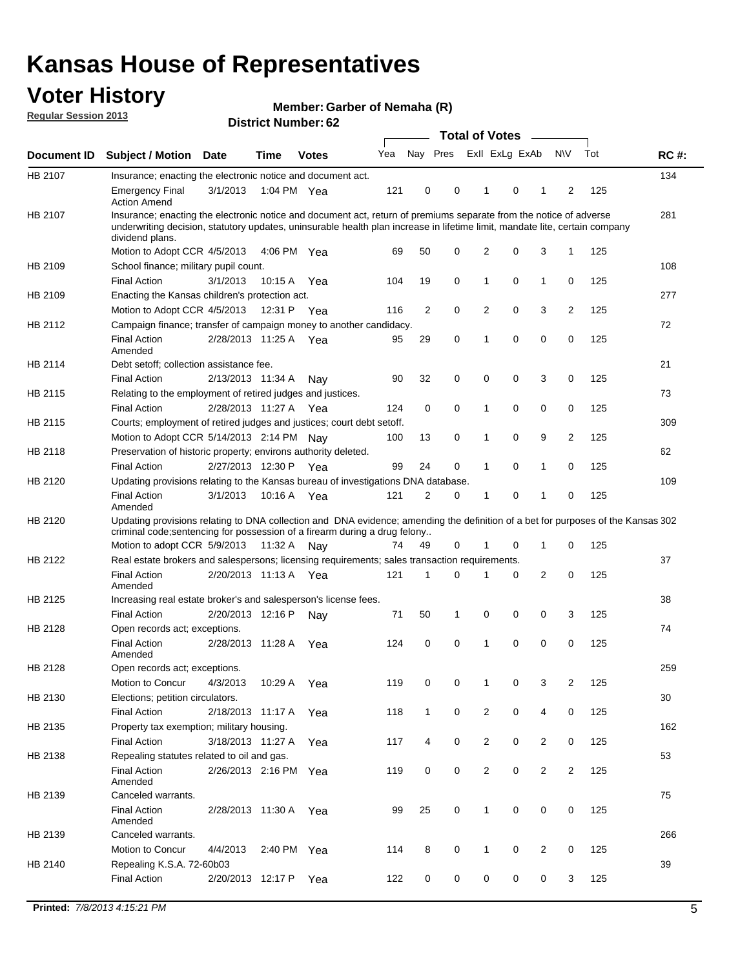## **Voter History**

**Member: Garber of Nemaha (R)** 

**Regular Session 2013**

|             |                                                                                                                                                                                                                                                                      |                       |             | אט הסעוווטנו וענושט |     |              |   | <b>Total of Votes</b> |   | $\sim$         |                |     |             |
|-------------|----------------------------------------------------------------------------------------------------------------------------------------------------------------------------------------------------------------------------------------------------------------------|-----------------------|-------------|---------------------|-----|--------------|---|-----------------------|---|----------------|----------------|-----|-------------|
| Document ID | <b>Subject / Motion</b>                                                                                                                                                                                                                                              | <b>Date</b>           | <b>Time</b> | <b>Votes</b>        | Yea | Nay Pres     |   | Exll ExLg ExAb        |   |                | <b>NV</b>      | Tot | <b>RC#:</b> |
| HB 2107     | Insurance; enacting the electronic notice and document act.                                                                                                                                                                                                          |                       |             |                     |     |              |   |                       |   |                |                |     | 134         |
|             | <b>Emergency Final</b><br><b>Action Amend</b>                                                                                                                                                                                                                        | 3/1/2013              | 1:04 PM Yea |                     | 121 | 0            | 0 | 1                     | 0 | 1              | 2              | 125 |             |
| HB 2107     | Insurance; enacting the electronic notice and document act, return of premiums separate from the notice of adverse<br>underwriting decision, statutory updates, uninsurable health plan increase in lifetime limit, mandate lite, certain company<br>dividend plans. |                       |             |                     |     |              |   |                       |   |                |                |     | 281         |
|             | Motion to Adopt CCR 4/5/2013                                                                                                                                                                                                                                         |                       | 4:06 PM Yea |                     | 69  | 50           | 0 | 2                     | 0 | 3              | $\mathbf{1}$   | 125 |             |
| HB 2109     | School finance; military pupil count.                                                                                                                                                                                                                                |                       |             |                     |     |              |   |                       |   |                |                |     | 108         |
|             | <b>Final Action</b>                                                                                                                                                                                                                                                  | 3/1/2013              | 10:15 A     | Yea                 | 104 | 19           | 0 | 1                     | 0 | $\mathbf{1}$   | 0              | 125 |             |
| HB 2109     | Enacting the Kansas children's protection act.                                                                                                                                                                                                                       |                       |             |                     |     |              |   |                       |   |                |                |     | 277         |
|             | Motion to Adopt CCR 4/5/2013                                                                                                                                                                                                                                         |                       | 12:31 P Yea |                     | 116 | 2            | 0 | $\overline{2}$        | 0 | 3              | 2              | 125 |             |
| HB 2112     | Campaign finance; transfer of campaign money to another candidacy.                                                                                                                                                                                                   |                       |             |                     |     |              |   |                       |   |                |                |     | 72          |
|             | <b>Final Action</b><br>Amended                                                                                                                                                                                                                                       | 2/28/2013 11:25 A Yea |             |                     | 95  | 29           | 0 | 1                     | 0 | 0              | 0              | 125 |             |
| HB 2114     | Debt setoff: collection assistance fee.                                                                                                                                                                                                                              |                       |             |                     |     |              |   |                       |   |                |                |     | 21          |
|             | <b>Final Action</b>                                                                                                                                                                                                                                                  | 2/13/2013 11:34 A     |             | Nay                 | 90  | 32           | 0 | 0                     | 0 | 3              | 0              | 125 |             |
| HB 2115     | Relating to the employment of retired judges and justices.                                                                                                                                                                                                           |                       |             |                     |     |              |   |                       |   |                |                |     | 73          |
|             | <b>Final Action</b>                                                                                                                                                                                                                                                  | 2/28/2013 11:27 A     |             | Yea                 | 124 | 0            | 0 | 1                     | 0 | 0              | 0              | 125 |             |
| HB 2115     | Courts; employment of retired judges and justices; court debt setoff.                                                                                                                                                                                                |                       |             |                     |     |              |   |                       |   |                |                |     | 309         |
|             | Motion to Adopt CCR 5/14/2013 2:14 PM Nav                                                                                                                                                                                                                            |                       |             |                     | 100 | 13           | 0 | 1                     | 0 | 9              | 2              | 125 |             |
| HB 2118     | Preservation of historic property; environs authority deleted.                                                                                                                                                                                                       |                       |             |                     |     |              |   |                       |   |                |                |     | 62          |
|             | <b>Final Action</b>                                                                                                                                                                                                                                                  | 2/27/2013 12:30 P     |             | Yea                 | 99  | 24           | 0 | 1                     | 0 | $\mathbf{1}$   | 0              | 125 |             |
| HB 2120     | Updating provisions relating to the Kansas bureau of investigations DNA database.                                                                                                                                                                                    |                       |             |                     |     |              |   |                       |   |                |                |     | 109         |
|             | <b>Final Action</b><br>Amended                                                                                                                                                                                                                                       | 3/1/2013              | 10:16 A     | Yea                 | 121 | 2            | 0 | 1                     | 0 | 1              | 0              | 125 |             |
| HB 2120     | Updating provisions relating to DNA collection and DNA evidence; amending the definition of a bet for purposes of the Kansas 302<br>criminal code; sentencing for possession of a firearm during a drug felony                                                       |                       |             |                     |     |              |   |                       |   |                |                |     |             |
|             | Motion to adopt CCR 5/9/2013 11:32 A                                                                                                                                                                                                                                 |                       |             | Nav                 | 74  | 49           | 0 | 1                     | 0 | $\mathbf 1$    | 0              | 125 |             |
| HB 2122     | Real estate brokers and salespersons; licensing requirements; sales transaction requirements.                                                                                                                                                                        |                       |             |                     |     |              |   |                       |   |                |                |     | 37          |
|             | <b>Final Action</b><br>Amended                                                                                                                                                                                                                                       | 2/20/2013 11:13 A Yea |             |                     | 121 | 1            | 0 |                       | 0 | 2              | 0              | 125 |             |
| HB 2125     | Increasing real estate broker's and salesperson's license fees.                                                                                                                                                                                                      |                       |             |                     |     |              |   |                       |   |                |                |     | 38          |
|             | <b>Final Action</b>                                                                                                                                                                                                                                                  | 2/20/2013 12:16 P     |             | Nay                 | 71  | 50           | 1 | 0                     | 0 | 0              | 3              | 125 |             |
| HB 2128     | Open records act; exceptions.                                                                                                                                                                                                                                        |                       |             |                     |     |              |   |                       |   |                |                |     | 74          |
|             | <b>Final Action</b><br>Amended                                                                                                                                                                                                                                       | 2/28/2013 11:28 A     |             | Yea                 | 124 | 0            | 0 | 1                     | 0 | 0              | 0              | 125 |             |
| HB 2128     | Open records act; exceptions.                                                                                                                                                                                                                                        |                       |             |                     |     |              |   |                       |   |                |                |     | 259         |
|             | Motion to Concur                                                                                                                                                                                                                                                     | 4/3/2013              | 10:29 A     | Yea                 | 119 | 0            | 0 | 1                     | 0 | 3              | 2              | 125 |             |
| HB 2130     | Elections; petition circulators.                                                                                                                                                                                                                                     |                       |             |                     |     |              |   |                       |   |                |                |     | 30          |
|             | <b>Final Action</b>                                                                                                                                                                                                                                                  | 2/18/2013 11:17 A     |             | Yea                 | 118 | $\mathbf{1}$ | 0 | $\overline{c}$        | 0 | 4              | 0              | 125 |             |
| HB 2135     | Property tax exemption; military housing.                                                                                                                                                                                                                            |                       |             |                     |     |              |   |                       |   |                |                |     | 162         |
|             | <b>Final Action</b>                                                                                                                                                                                                                                                  | 3/18/2013 11:27 A     |             | Yea                 | 117 | 4            | 0 | $\overline{c}$        | 0 | $\overline{2}$ | 0              | 125 |             |
| HB 2138     | Repealing statutes related to oil and gas.                                                                                                                                                                                                                           |                       |             |                     |     |              |   |                       |   |                |                |     | 53          |
|             | <b>Final Action</b><br>Amended                                                                                                                                                                                                                                       | 2/26/2013 2:16 PM Yea |             |                     | 119 | 0            | 0 | $\overline{2}$        | 0 | $\overline{2}$ | $\overline{2}$ | 125 |             |
| HB 2139     | Canceled warrants.                                                                                                                                                                                                                                                   |                       |             |                     |     |              |   |                       |   |                |                |     | 75          |
|             | <b>Final Action</b><br>Amended                                                                                                                                                                                                                                       | 2/28/2013 11:30 A     |             | Yea                 | 99  | 25           | 0 | 1                     | 0 | 0              | 0              | 125 |             |
| HB 2139     | Canceled warrants.                                                                                                                                                                                                                                                   |                       |             |                     |     |              |   |                       |   |                |                |     | 266         |
|             | Motion to Concur                                                                                                                                                                                                                                                     | 4/4/2013              | 2:40 PM Yea |                     | 114 | 8            | 0 | 1                     | 0 | 2              | 0              | 125 |             |
| HB 2140     | Repealing K.S.A. 72-60b03                                                                                                                                                                                                                                            |                       |             |                     |     |              |   |                       |   |                |                |     | 39          |
|             | <b>Final Action</b>                                                                                                                                                                                                                                                  | 2/20/2013 12:17 P     |             | Yea                 | 122 | 0            | 0 | 0                     | 0 | 0              | 3              | 125 |             |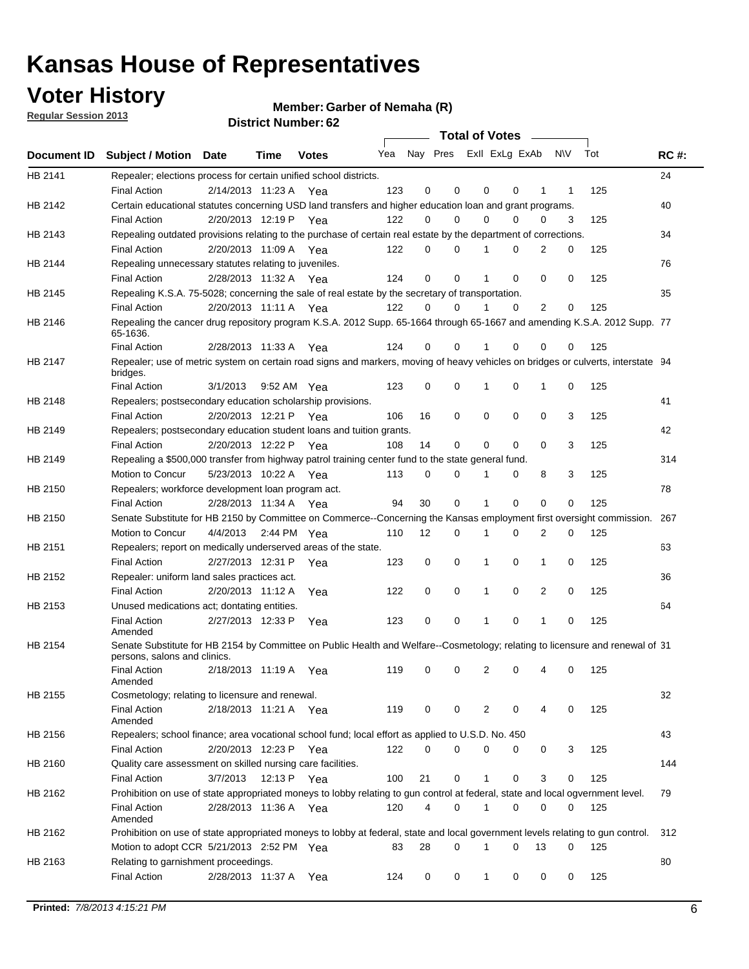## **Voter History**

**Member: Garber of Nemaha (R)** 

**Regular Session 2013**

|             |                                                                                                                                              |                       |                       |              |     |    | <b>Total of Votes</b>   |              |   | $\overline{\phantom{0}}$ |     |     |             |
|-------------|----------------------------------------------------------------------------------------------------------------------------------------------|-----------------------|-----------------------|--------------|-----|----|-------------------------|--------------|---|--------------------------|-----|-----|-------------|
| Document ID | <b>Subject / Motion Date</b>                                                                                                                 |                       | Time                  | <b>Votes</b> | Yea |    | Nay Pres Exll ExLg ExAb |              |   |                          | N\V | Tot | <b>RC#:</b> |
| HB 2141     | Repealer; elections process for certain unified school districts.                                                                            |                       |                       |              |     |    |                         |              |   |                          |     |     | 24          |
|             | <b>Final Action</b>                                                                                                                          | 2/14/2013 11:23 A     |                       | Yea          | 123 | 0  | 0                       | 0            | 0 | 1                        | 1   | 125 |             |
| HB 2142     | Certain educational statutes concerning USD land transfers and higher education loan and grant programs.                                     |                       |                       |              |     |    |                         |              |   |                          |     |     | 40          |
|             | <b>Final Action</b>                                                                                                                          | 2/20/2013 12:19 P     |                       | Yea          | 122 | 0  | 0                       | 0            | 0 | 0                        | 3   | 125 |             |
| HB 2143     | Repealing outdated provisions relating to the purchase of certain real estate by the department of corrections.                              |                       |                       |              |     |    |                         |              |   |                          |     |     | 34          |
|             | <b>Final Action</b>                                                                                                                          |                       | 2/20/2013 11:09 A     | Yea          | 122 | 0  | 0                       |              | 0 | 2                        | 0   | 125 |             |
| HB 2144     | Repealing unnecessary statutes relating to juveniles.                                                                                        |                       |                       |              |     |    |                         |              |   |                          |     |     | 76          |
|             | <b>Final Action</b>                                                                                                                          |                       | 2/28/2013 11:32 A Yea |              | 124 | 0  | 0                       |              | 0 | 0                        | 0   | 125 |             |
| HB 2145     | Repealing K.S.A. 75-5028; concerning the sale of real estate by the secretary of transportation.                                             |                       |                       |              |     |    |                         |              |   |                          |     |     | 35          |
|             | <b>Final Action</b>                                                                                                                          | 2/20/2013 11:11 A Yea |                       |              | 122 | 0  | 0                       |              | 0 | 2                        | 0   | 125 |             |
| HB 2146     | Repealing the cancer drug repository program K.S.A. 2012 Supp. 65-1664 through 65-1667 and amending K.S.A. 2012 Supp. 77<br>65-1636.         |                       |                       |              |     |    |                         |              |   |                          |     |     |             |
|             | <b>Final Action</b>                                                                                                                          |                       | 2/28/2013 11:33 A     | Yea          | 124 | 0  | 0                       |              | 0 | 0                        | 0   | 125 |             |
| HB 2147     | Repealer; use of metric system on certain road signs and markers, moving of heavy vehicles on bridges or culverts, interstate 94<br>bridges. |                       |                       |              |     |    |                         |              |   |                          |     |     |             |
|             | <b>Final Action</b>                                                                                                                          | 3/1/2013              |                       | 9:52 AM Yea  | 123 | 0  | 0                       | 1            | 0 | 1                        | 0   | 125 |             |
| HB 2148     | Repealers; postsecondary education scholarship provisions.                                                                                   |                       |                       |              |     |    |                         |              |   |                          |     |     | 41          |
|             | <b>Final Action</b>                                                                                                                          | 2/20/2013 12:21 P Yea |                       |              | 106 | 16 | 0                       | 0            | 0 | 0                        | 3   | 125 |             |
| HB 2149     | Repealers; postsecondary education student loans and tuition grants.                                                                         |                       |                       |              |     |    |                         |              |   |                          |     |     | 42          |
|             | <b>Final Action</b>                                                                                                                          |                       | 2/20/2013 12:22 P     | Yea          | 108 | 14 | 0                       | 0            | 0 | $\Omega$                 | 3   | 125 |             |
| HB 2149     | Repealing a \$500,000 transfer from highway patrol training center fund to the state general fund.                                           |                       |                       |              |     |    |                         |              |   |                          |     |     | 314         |
|             | Motion to Concur                                                                                                                             |                       | 5/23/2013 10:22 A Yea |              | 113 | 0  | 0                       |              | 0 | 8                        | 3   | 125 |             |
| HB 2150     | Repealers; workforce development loan program act.                                                                                           |                       |                       |              |     |    |                         |              |   |                          |     |     | 78          |
|             | <b>Final Action</b>                                                                                                                          |                       | 2/28/2013 11:34 A Yea |              | 94  | 30 | 0                       | 1            | 0 | 0                        | 0   | 125 |             |
| HB 2150     | Senate Substitute for HB 2150 by Committee on Commerce--Concerning the Kansas employment first oversight commission.                         |                       |                       |              |     |    |                         |              |   |                          |     |     | 267         |
|             | Motion to Concur                                                                                                                             | 4/4/2013              |                       | 2:44 PM Yea  | 110 | 12 | 0                       | 1            | 0 | 2                        | 0   | 125 |             |
| HB 2151     | Repealers; report on medically underserved areas of the state.                                                                               |                       |                       |              |     |    |                         |              |   |                          |     |     | 63          |
|             | <b>Final Action</b>                                                                                                                          |                       | 2/27/2013 12:31 P     | Yea          | 123 | 0  | 0                       | 1            | 0 | 1                        | 0   | 125 |             |
| HB 2152     | Repealer: uniform land sales practices act.                                                                                                  |                       |                       |              |     |    |                         |              |   |                          |     |     | 36          |
|             | <b>Final Action</b>                                                                                                                          |                       | 2/20/2013 11:12 A     | Yea          | 122 | 0  | 0                       | 1            | 0 | 2                        | 0   | 125 |             |
| HB 2153     | Unused medications act; dontating entities.                                                                                                  |                       |                       |              |     |    |                         |              |   |                          |     |     | 64          |
|             | <b>Final Action</b><br>Amended                                                                                                               | 2/27/2013 12:33 P     |                       | Yea          | 123 | 0  | 0                       | 1            | 0 | 1                        | 0   | 125 |             |
| HB 2154     | Senate Substitute for HB 2154 by Committee on Public Health and Welfare--Cosmetology; relating to licensure and renewal of 31                |                       |                       |              |     |    |                         |              |   |                          |     |     |             |
|             | persons, salons and clinics.                                                                                                                 |                       |                       |              |     |    |                         |              |   |                          |     |     |             |
|             | <b>Final Action</b><br>Amended                                                                                                               |                       | 2/18/2013 11:19 A     | Yea          | 119 | 0  | 0                       | 2            | 0 | 4                        | 0   | 125 |             |
| HB 2155     | Cosmetology; relating to licensure and renewal.                                                                                              |                       |                       |              |     |    |                         |              |   |                          |     |     | 32          |
|             | <b>Final Action</b><br>Amended                                                                                                               |                       | 2/18/2013 11:21 A Yea |              | 119 | 0  | 0                       | 2            | 0 | 4                        | 0   | 125 |             |
| HB 2156     | Repealers; school finance; area vocational school fund; local effort as applied to U.S.D. No. 450                                            |                       |                       |              |     |    |                         |              |   |                          |     |     | 43          |
|             | <b>Final Action</b>                                                                                                                          | 2/20/2013 12:23 P Yea |                       |              | 122 | 0  | $\Omega$                | 0            | 0 | 0                        | 3   | 125 |             |
| HB 2160     | Quality care assessment on skilled nursing care facilities.                                                                                  |                       |                       |              |     |    |                         |              |   |                          |     |     | 144         |
|             | <b>Final Action</b>                                                                                                                          | 3/7/2013              |                       | 12:13 P Yea  | 100 | 21 | 0                       | $\mathbf 1$  | 0 | 3                        | 0   | 125 |             |
| HB 2162     | Prohibition on use of state appropriated moneys to lobby relating to gun control at federal, state and local ogvernment level.               |                       |                       |              |     |    |                         |              |   |                          |     |     | 79          |
|             | <b>Final Action</b><br>Amended                                                                                                               |                       | 2/28/2013 11:36 A Yea |              | 120 | 4  | 0                       | 1            | 0 | 0                        | 0   | 125 |             |
| HB 2162     | Prohibition on use of state appropriated moneys to lobby at federal, state and local government levels relating to gun control.              |                       |                       |              |     |    |                         |              |   |                          |     |     | 312         |
|             | Motion to adopt CCR 5/21/2013 2:52 PM Yea                                                                                                    |                       |                       |              | 83  | 28 | 0                       | 1            | 0 | 13                       | 0   | 125 |             |
|             |                                                                                                                                              |                       |                       |              |     |    |                         |              |   |                          |     |     | 80          |
| HB 2163     | Relating to garnishment proceedings.<br><b>Final Action</b>                                                                                  |                       | 2/28/2013 11:37 A Yea |              | 124 | 0  | 0                       | $\mathbf{1}$ | 0 | 0                        | 0   | 125 |             |
|             |                                                                                                                                              |                       |                       |              |     |    |                         |              |   |                          |     |     |             |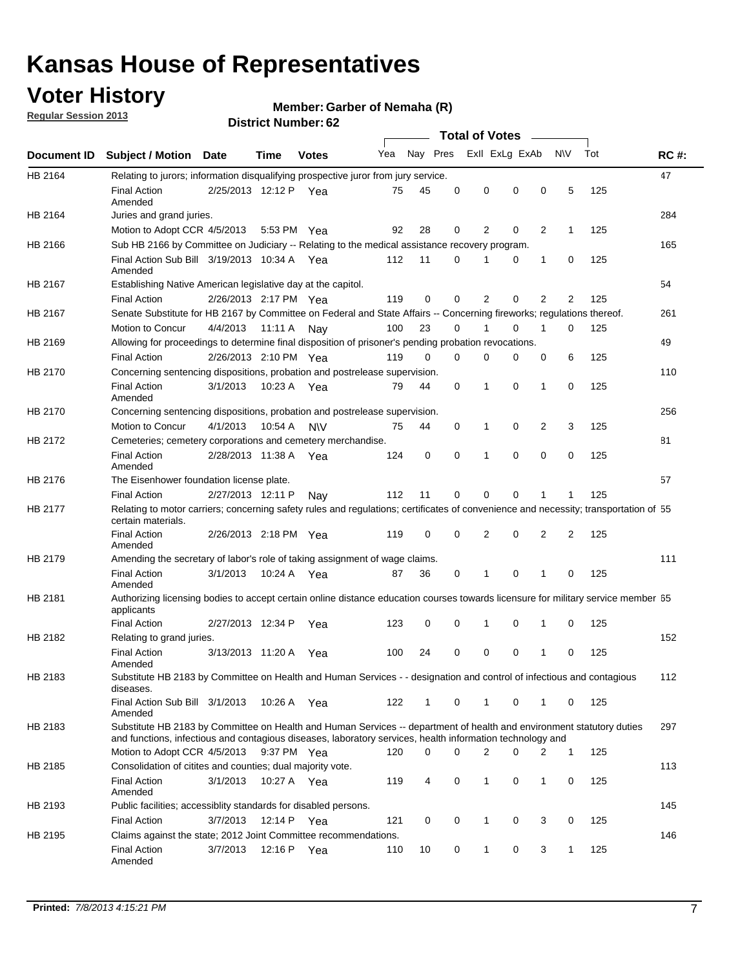## **Voter History**

**Regular Session 2013**

#### **Member: Garber of Nemaha (R)**

|                    |                                                                                                                                                                                                                                    |                       |             | וסוש ואוווואדו וואווו |     |              |          | <b>Total of Votes</b> |          | $\sim$ |                |     |             |
|--------------------|------------------------------------------------------------------------------------------------------------------------------------------------------------------------------------------------------------------------------------|-----------------------|-------------|-----------------------|-----|--------------|----------|-----------------------|----------|--------|----------------|-----|-------------|
| <b>Document ID</b> | <b>Subject / Motion Date</b>                                                                                                                                                                                                       |                       | Time        | <b>Votes</b>          |     | Yea Nay Pres |          | Exll ExLg ExAb        |          |        | <b>NV</b>      | Tot | <b>RC#:</b> |
| HB 2164            | Relating to jurors; information disqualifying prospective juror from jury service.                                                                                                                                                 |                       |             |                       |     |              |          |                       |          |        |                |     | 47          |
|                    | <b>Final Action</b><br>Amended                                                                                                                                                                                                     | 2/25/2013 12:12 P Yea |             |                       | 75  | 45           | 0        | 0                     | 0        | 0      | 5              | 125 |             |
| HB 2164            | Juries and grand juries.                                                                                                                                                                                                           |                       |             |                       |     |              |          |                       |          |        |                |     | 284         |
|                    | Motion to Adopt CCR 4/5/2013                                                                                                                                                                                                       |                       | 5:53 PM Yea |                       | 92  | 28           | 0        | 2                     | 0        | 2      | $\mathbf{1}$   | 125 |             |
| HB 2166            | Sub HB 2166 by Committee on Judiciary -- Relating to the medical assistance recovery program.                                                                                                                                      |                       |             |                       |     |              |          |                       |          |        |                |     | 165         |
|                    | Final Action Sub Bill 3/19/2013 10:34 A Yea<br>Amended                                                                                                                                                                             |                       |             |                       | 112 | 11           | 0        | 1                     | 0        | 1      | 0              | 125 |             |
| HB 2167            | Establishing Native American legislative day at the capitol.                                                                                                                                                                       |                       |             |                       |     |              |          |                       |          |        |                |     | 54          |
|                    | <b>Final Action</b>                                                                                                                                                                                                                | 2/26/2013 2:17 PM Yea |             |                       | 119 | 0            | 0        | 2                     | 0        | 2      | 2              | 125 |             |
| HB 2167            | Senate Substitute for HB 2167 by Committee on Federal and State Affairs -- Concerning fireworks; regulations thereof.                                                                                                              |                       |             |                       |     |              |          |                       |          |        |                |     | 261         |
|                    | Motion to Concur                                                                                                                                                                                                                   | 4/4/2013              | 11:11 A     | Nav                   | 100 | 23           | 0        | 1                     | 0        | 1      | 0              | 125 |             |
| HB 2169            | Allowing for proceedings to determine final disposition of prisoner's pending probation revocations.                                                                                                                               |                       |             |                       |     |              |          |                       |          |        |                |     | 49          |
|                    | <b>Final Action</b>                                                                                                                                                                                                                | 2/26/2013 2:10 PM Yea |             |                       | 119 | 0            | 0        | 0                     | 0        | 0      | 6              | 125 |             |
| HB 2170            | Concerning sentencing dispositions, probation and postrelease supervision.                                                                                                                                                         |                       |             |                       |     |              |          |                       |          |        |                |     | 110         |
|                    | <b>Final Action</b><br>Amended                                                                                                                                                                                                     | 3/1/2013              | 10:23 A Yea |                       | 79  | 44           | 0        | 1                     | 0        | 1      | 0              | 125 |             |
| HB 2170            | Concerning sentencing dispositions, probation and postrelease supervision.                                                                                                                                                         |                       |             |                       |     |              |          |                       |          |        |                |     | 256         |
|                    | Motion to Concur                                                                                                                                                                                                                   | 4/1/2013              | 10:54 A     | <b>NV</b>             | 75  | 44           | 0        | $\mathbf{1}$          | 0        | 2      | 3              | 125 |             |
| HB 2172            | Cemeteries; cemetery corporations and cemetery merchandise.                                                                                                                                                                        |                       |             |                       |     |              |          |                       |          |        |                |     | 81          |
|                    | <b>Final Action</b><br>Amended                                                                                                                                                                                                     | 2/28/2013 11:38 A     |             | Yea                   | 124 | 0            | $\Omega$ | 1                     | $\Omega$ | 0      | 0              | 125 |             |
| HB 2176            | The Eisenhower foundation license plate.                                                                                                                                                                                           |                       |             |                       |     |              |          |                       |          |        |                |     | 57          |
|                    | <b>Final Action</b>                                                                                                                                                                                                                | 2/27/2013 12:11 P     |             | Nay                   | 112 | 11           | 0        | 0                     | 0        |        | 1              | 125 |             |
| HB 2177            | Relating to motor carriers; concerning safety rules and regulations; certificates of convenience and necessity; transportation of 55<br>certain materials.                                                                         |                       |             |                       |     |              |          |                       |          |        |                |     |             |
|                    | <b>Final Action</b><br>Amended                                                                                                                                                                                                     | 2/26/2013 2:18 PM Yea |             |                       | 119 | 0            | 0        | 2                     | 0        | 2      | $\overline{2}$ | 125 |             |
| HB 2179            | Amending the secretary of labor's role of taking assignment of wage claims.                                                                                                                                                        |                       |             |                       |     |              |          |                       |          |        |                |     | 111         |
|                    | <b>Final Action</b><br>Amended                                                                                                                                                                                                     | 3/1/2013              | 10:24 A Yea |                       | 87  | 36           | 0        | 1                     | $\Omega$ |        | 0              | 125 |             |
| HB 2181            | Authorizing licensing bodies to accept certain online distance education courses towards licensure for military service member 55<br>applicants                                                                                    |                       |             |                       |     |              |          |                       |          |        |                |     |             |
|                    | <b>Final Action</b>                                                                                                                                                                                                                | 2/27/2013 12:34 P     |             | Yea                   | 123 | 0            | 0        | 1                     | 0        | 1      | 0              | 125 |             |
| HB 2182            | Relating to grand juries.                                                                                                                                                                                                          |                       |             |                       |     |              |          |                       |          |        |                |     | 152         |
|                    | <b>Final Action</b><br>Amended                                                                                                                                                                                                     | 3/13/2013 11:20 A     |             | Yea                   | 100 | 24           | 0        | 0                     | 0        | 1      | 0              | 125 |             |
| HB 2183            | Substitute HB 2183 by Committee on Health and Human Services - - designation and control of infectious and contagious<br>diseases.                                                                                                 |                       |             |                       |     |              |          |                       |          |        |                |     | 112         |
|                    | Final Action Sub Bill 3/1/2013<br>Amended                                                                                                                                                                                          |                       |             | 10:26 A Yea           | 122 | $\mathbf{1}$ | 0        | 1                     | 0        | 1      | 0              | 125 |             |
| HB 2183            | Substitute HB 2183 by Committee on Health and Human Services -- department of health and environment statutory duties<br>and functions, infectious and contagious diseases, laboratory services, health information technology and |                       |             |                       |     |              |          |                       |          |        |                |     | 297         |
|                    | Motion to Adopt CCR 4/5/2013                                                                                                                                                                                                       |                       | 9:37 PM Yea |                       | 120 | 0            | 0        | 2                     | 0        | 2      | $\mathbf 1$    | 125 |             |
| HB 2185            | Consolidation of citites and counties; dual majority vote.                                                                                                                                                                         |                       |             |                       |     |              |          |                       |          |        |                |     | 113         |
|                    | <b>Final Action</b><br>Amended                                                                                                                                                                                                     | 3/1/2013              |             | 10:27 A Yea           | 119 | 4            | 0        | 1                     | 0        | 1      | 0              | 125 |             |
| HB 2193            | Public facilities; accessiblity standards for disabled persons.                                                                                                                                                                    |                       |             |                       |     |              |          |                       |          |        |                |     | 145         |
|                    | <b>Final Action</b>                                                                                                                                                                                                                | 3/7/2013              | 12:14 P     | Yea                   | 121 | 0            | 0        | 1                     | 0        | 3      | 0              | 125 |             |
| HB 2195            | Claims against the state; 2012 Joint Committee recommendations.                                                                                                                                                                    |                       |             |                       |     |              |          |                       |          |        |                |     | 146         |
|                    | <b>Final Action</b><br>Amended                                                                                                                                                                                                     | 3/7/2013              | 12:16 P Yea |                       | 110 | 10           | 0        | $\mathbf{1}$          | 0        | 3      | $\mathbf{1}$   | 125 |             |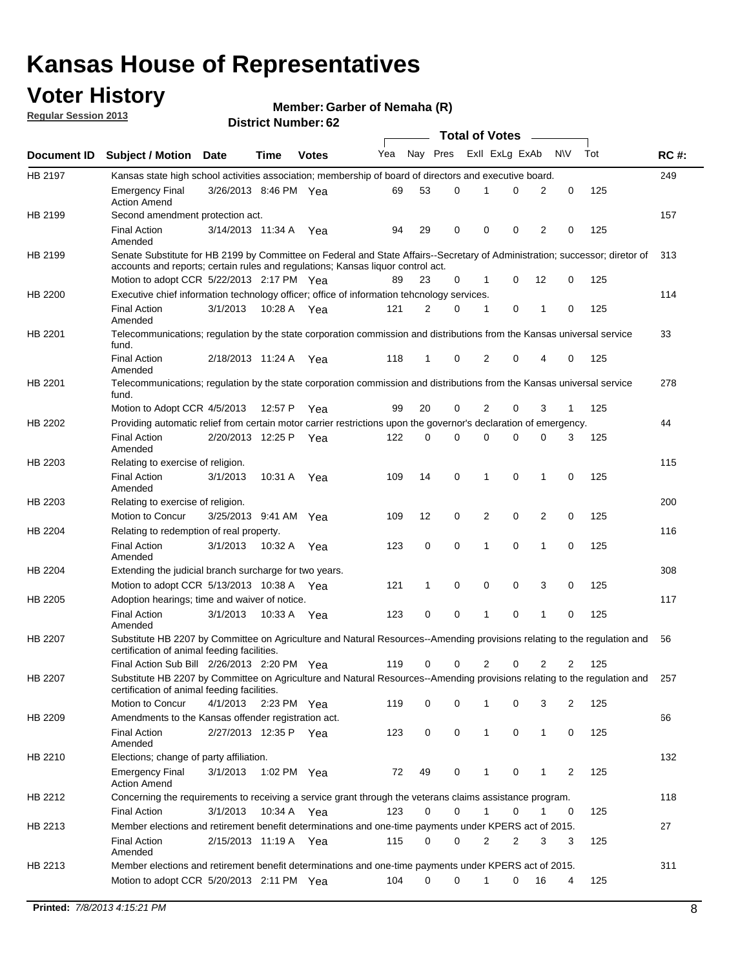## **Voter History**

**Member: Garber of Nemaha (R)** 

**Regular Session 2013**

|                |                                                                                                                                                                             |                       |             |              |     |             |   | <b>Total of Votes</b> |   |                |              |     |             |
|----------------|-----------------------------------------------------------------------------------------------------------------------------------------------------------------------------|-----------------------|-------------|--------------|-----|-------------|---|-----------------------|---|----------------|--------------|-----|-------------|
| Document ID    | <b>Subject / Motion Date</b>                                                                                                                                                |                       | Time        | <b>Votes</b> | Yea | Nay Pres    |   | Exll ExLg ExAb        |   |                | <b>NV</b>    | Tot | <b>RC#:</b> |
| HB 2197        | Kansas state high school activities association; membership of board of directors and executive board.                                                                      |                       |             |              |     |             |   |                       |   |                |              |     | 249         |
|                | <b>Emergency Final</b><br><b>Action Amend</b>                                                                                                                               | 3/26/2013 8:46 PM Yea |             |              | 69  | 53          | 0 |                       | 0 | 2              | 0            | 125 |             |
| HB 2199        | Second amendment protection act.                                                                                                                                            |                       |             |              |     |             |   |                       |   |                |              |     | 157         |
|                | <b>Final Action</b><br>Amended                                                                                                                                              | 3/14/2013 11:34 A     |             | Yea          | 94  | 29          | 0 | 0                     | 0 | 2              | 0            | 125 |             |
| HB 2199        | Senate Substitute for HB 2199 by Committee on Federal and State Affairs--Secretary of Administration; successor; diretor of                                                 |                       |             |              |     |             |   |                       |   |                |              |     | 313         |
|                | accounts and reports; certain rules and regulations; Kansas liquor control act.                                                                                             |                       |             |              |     |             |   |                       |   |                |              |     |             |
|                | Motion to adopt CCR 5/22/2013 2:17 PM Yea                                                                                                                                   |                       |             |              | 89  | 23          | 0 | 1                     | 0 | 12             | 0            | 125 |             |
| HB 2200        | Executive chief information technology officer; office of information tehcnology services.                                                                                  |                       |             |              |     |             |   |                       |   |                |              |     | 114         |
|                | <b>Final Action</b><br>Amended                                                                                                                                              | 3/1/2013              | 10:28 A     | Yea          | 121 | 2           | 0 | 1                     | 0 | 1              | 0            | 125 |             |
| HB 2201        | Telecommunications; regulation by the state corporation commission and distributions from the Kansas universal service<br>fund.                                             |                       |             |              |     |             |   |                       |   |                |              |     | 33          |
|                | <b>Final Action</b><br>Amended                                                                                                                                              | 2/18/2013 11:24 A     |             | Yea          | 118 | 1           | 0 | 2                     | 0 | 4              | 0            | 125 |             |
| HB 2201        | Telecommunications; regulation by the state corporation commission and distributions from the Kansas universal service<br>fund.                                             |                       |             |              |     |             |   |                       |   |                |              |     | 278         |
|                | Motion to Adopt CCR 4/5/2013                                                                                                                                                |                       | 12:57 P     | Yea          | 99  | 20          | 0 | 2                     | 0 | 3              | $\mathbf{1}$ | 125 |             |
| HB 2202        | Providing automatic relief from certain motor carrier restrictions upon the governor's declaration of emergency.                                                            |                       |             |              |     |             |   |                       |   |                |              |     | 44          |
|                | <b>Final Action</b><br>Amended                                                                                                                                              | 2/20/2013 12:25 P     |             | Yea          | 122 | 0           | 0 | 0                     | 0 | 0              | 3            | 125 |             |
| HB 2203        | Relating to exercise of religion.                                                                                                                                           |                       |             |              |     |             |   |                       |   |                |              |     | 115         |
|                | <b>Final Action</b><br>Amended                                                                                                                                              | 3/1/2013              | 10:31 A     | Yea          | 109 | 14          | 0 | 1                     | 0 | 1              | 0            | 125 |             |
| HB 2203        | Relating to exercise of religion.                                                                                                                                           |                       |             |              |     |             |   |                       |   |                |              |     | 200         |
|                | Motion to Concur                                                                                                                                                            | 3/25/2013 9:41 AM     |             | Yea          | 109 | 12          | 0 | 2                     | 0 | 2              | 0            | 125 |             |
| HB 2204        | Relating to redemption of real property.                                                                                                                                    |                       |             |              |     |             |   |                       |   |                |              |     | 116         |
|                | <b>Final Action</b>                                                                                                                                                         | 3/1/2013              | 10:32 A     | Yea          | 123 | $\mathbf 0$ | 0 | 1                     | 0 | $\mathbf{1}$   | 0            | 125 |             |
| HB 2204        | Amended<br>Extending the judicial branch surcharge for two years.                                                                                                           |                       |             |              |     |             |   |                       |   |                |              |     | 308         |
|                | Motion to adopt CCR 5/13/2013 10:38 A Yea                                                                                                                                   |                       |             |              | 121 | 1           | 0 | 0                     | 0 | 3              | 0            | 125 |             |
| HB 2205        | Adoption hearings; time and waiver of notice.                                                                                                                               |                       |             |              |     |             |   |                       |   |                |              |     | 117         |
|                | <b>Final Action</b>                                                                                                                                                         | 3/1/2013              |             |              | 123 | 0           | 0 | 1                     | 0 | 1              | 0            | 125 |             |
|                | Amended                                                                                                                                                                     |                       | 10:33 A Yea |              |     |             |   |                       |   |                |              |     |             |
| HB 2207        | Substitute HB 2207 by Committee on Agriculture and Natural Resources--Amending provisions relating to the regulation and<br>certification of animal feeding facilities.     |                       |             |              |     |             |   |                       |   |                |              |     | 56          |
|                | Final Action Sub Bill 2/26/2013 2:20 PM Yea                                                                                                                                 |                       |             |              | 119 | 0           | 0 | 2                     | 0 | $\overline{2}$ | 2            | 125 |             |
| <b>HB 2207</b> | Substitute HB 2207 by Committee on Agriculture and Natural Resources--Amending provisions relating to the regulation and 257<br>certification of animal feeding facilities. |                       |             |              |     |             |   |                       |   |                |              |     |             |
|                | Motion to Concur                                                                                                                                                            | 4/1/2013              | 2:23 PM Yea |              | 119 | 0           | 0 | 1                     | 0 | 3              | 2            | 125 |             |
| HB 2209        | Amendments to the Kansas offender registration act.                                                                                                                         |                       |             |              |     |             |   |                       |   |                |              |     | 66          |
|                | <b>Final Action</b><br>Amended                                                                                                                                              | 2/27/2013 12:35 P Yea |             |              | 123 | 0           | 0 | $\mathbf{1}$          | 0 | $\mathbf{1}$   | 0            | 125 |             |
| HB 2210        | Elections; change of party affiliation.                                                                                                                                     |                       |             |              |     |             |   |                       |   |                |              |     | 132         |
|                | <b>Emergency Final</b><br><b>Action Amend</b>                                                                                                                               | 3/1/2013              | 1:02 PM Yea |              | 72  | 49          | 0 |                       | 0 | 1              | 2            | 125 |             |
| HB 2212        | Concerning the requirements to receiving a service grant through the veterans claims assistance program.                                                                    |                       |             |              |     |             |   |                       |   |                |              |     | 118         |
|                | <b>Final Action</b>                                                                                                                                                         | 3/1/2013              |             | 10:34 A Yea  | 123 | 0           | 0 | $\mathbf{1}$          | 0 | 1              | 0            | 125 |             |
| HB 2213        | Member elections and retirement benefit determinations and one-time payments under KPERS act of 2015.                                                                       |                       |             |              |     |             |   |                       |   |                |              |     | 27          |
|                | <b>Final Action</b><br>Amended                                                                                                                                              | 2/15/2013 11:19 A Yea |             |              | 115 | 0           | 0 | 2                     | 2 | 3              | 3            | 125 |             |
| HB 2213        | Member elections and retirement benefit determinations and one-time payments under KPERS act of 2015.                                                                       |                       |             |              |     |             |   |                       |   |                |              |     | 311         |
|                | Motion to adopt CCR 5/20/2013 2:11 PM Yea                                                                                                                                   |                       |             |              | 104 | $\Omega$    | 0 | 1                     | 0 | 16             | 4            | 125 |             |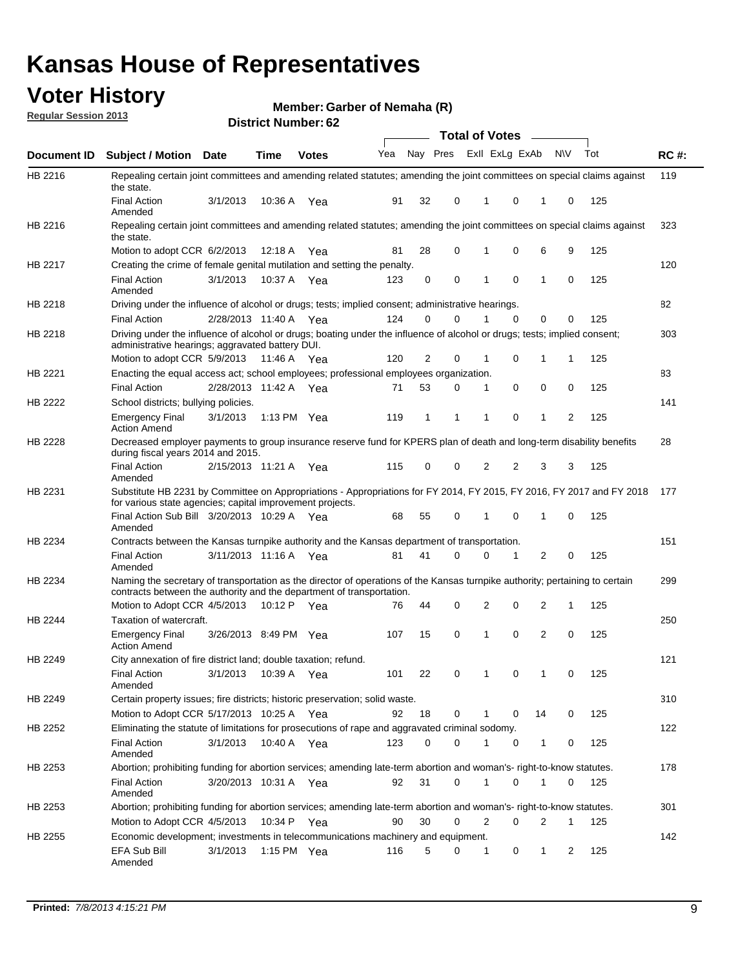## **Voter History**

**Member: Garber of Nemaha (R)** 

**Regular Session 2013**

|                    |                                                                                                                                                                                                       |                       |             | אט , וסעווווטקו , טב |                             |              |          | <b>Total of Votes</b> |             | $\sim$         |           |     |             |
|--------------------|-------------------------------------------------------------------------------------------------------------------------------------------------------------------------------------------------------|-----------------------|-------------|----------------------|-----------------------------|--------------|----------|-----------------------|-------------|----------------|-----------|-----|-------------|
| <b>Document ID</b> | <b>Subject / Motion</b>                                                                                                                                                                               | Date                  | Time        | <b>Votes</b>         | Yea Nay Pres ExII ExLg ExAb |              |          |                       |             |                | <b>NV</b> | Tot | <b>RC#:</b> |
| HB 2216            | Repealing certain joint committees and amending related statutes; amending the joint committees on special claims against<br>the state.                                                               |                       |             |                      |                             |              |          |                       |             |                |           |     | 119         |
|                    | <b>Final Action</b><br>Amended                                                                                                                                                                        | 3/1/2013              | 10:36 A     | Yea                  | 91                          | 32           | 0        | 1                     | 0           | 1              | 0         | 125 |             |
| HB 2216            | Repealing certain joint committees and amending related statutes; amending the joint committees on special claims against<br>the state.                                                               |                       |             |                      |                             |              |          |                       |             |                |           |     | 323         |
|                    | Motion to adopt CCR 6/2/2013                                                                                                                                                                          |                       | 12:18 A     | Yea                  | 81                          | 28           | 0        | 1                     | 0           | 6              | 9         | 125 |             |
| HB 2217            | Creating the crime of female genital mutilation and setting the penalty.                                                                                                                              |                       |             |                      |                             |              |          |                       |             |                |           |     | 120         |
|                    | <b>Final Action</b><br>Amended                                                                                                                                                                        | 3/1/2013              |             | 10:37 A Yea          | 123                         | 0            | 0        | 1                     | $\mathbf 0$ | $\mathbf{1}$   | 0         | 125 |             |
| HB 2218            | Driving under the influence of alcohol or drugs; tests; implied consent; administrative hearings.                                                                                                     |                       |             |                      |                             |              |          |                       |             |                |           |     | 82          |
|                    | <b>Final Action</b>                                                                                                                                                                                   | 2/28/2013 11:40 A Yea |             |                      | 124                         | 0            | 0        | 1                     | $\Omega$    | 0              | 0         | 125 |             |
| HB 2218            | Driving under the influence of alcohol or drugs; boating under the influence of alcohol or drugs; tests; implied consent;<br>administrative hearings; aggravated battery DUI.                         |                       |             |                      |                             |              |          |                       |             |                |           |     | 303         |
|                    | Motion to adopt CCR 5/9/2013                                                                                                                                                                          |                       | 11:46 A Yea |                      | 120                         | 2            | 0        | 1                     | 0           | 1              | 1         | 125 |             |
| HB 2221            | Enacting the equal access act; school employees; professional employees organization.                                                                                                                 |                       |             |                      |                             |              |          |                       |             |                |           |     | 83          |
|                    | <b>Final Action</b>                                                                                                                                                                                   | 2/28/2013 11:42 A Yea |             |                      | 71                          | 53           | 0        | 1                     | 0           | 0              | 0         | 125 |             |
| HB 2222            | School districts; bullying policies.<br><b>Emergency Final</b>                                                                                                                                        | 3/1/2013              |             | 1:13 PM Yea          | 119                         | $\mathbf{1}$ | 1        | 1                     | 0           | $\mathbf{1}$   | 2         | 125 | 141         |
|                    | <b>Action Amend</b>                                                                                                                                                                                   |                       |             |                      |                             |              |          |                       |             |                |           |     |             |
| HB 2228            | Decreased employer payments to group insurance reserve fund for KPERS plan of death and long-term disability benefits<br>during fiscal years 2014 and 2015.                                           |                       |             |                      |                             |              |          |                       |             |                |           |     | 28          |
|                    | <b>Final Action</b><br>Amended                                                                                                                                                                        | 2/15/2013 11:21 A Yea |             |                      | 115                         | 0            | 0        | 2                     | 2           | 3              | 3         | 125 |             |
| HB 2231            | Substitute HB 2231 by Committee on Appropriations - Appropriations for FY 2014, FY 2015, FY 2016, FY 2017 and FY 2018<br>for various state agencies; capital improvement projects.                    |                       |             |                      |                             |              |          |                       |             |                |           |     | 177         |
|                    | Final Action Sub Bill 3/20/2013 10:29 A Yea<br>Amended                                                                                                                                                |                       |             |                      | 68                          | 55           | 0        |                       | 0           | 1              | 0         | 125 |             |
| HB 2234            | Contracts between the Kansas turnpike authority and the Kansas department of transportation.                                                                                                          |                       |             |                      |                             |              |          |                       |             |                |           |     | 151         |
|                    | <b>Final Action</b><br>Amended                                                                                                                                                                        | 3/11/2013 11:16 A Yea |             |                      | 81                          | 41           | $\Omega$ | 0                     | 1           | $\overline{2}$ | 0         | 125 |             |
| HB 2234            | Naming the secretary of transportation as the director of operations of the Kansas turnpike authority; pertaining to certain<br>contracts between the authority and the department of transportation. |                       |             |                      |                             |              |          |                       |             |                |           |     | 299         |
|                    | Motion to Adopt CCR 4/5/2013                                                                                                                                                                          |                       | 10:12 P     | Yea                  | 76                          | 44           | 0        | 2                     | 0           | 2              | 1         | 125 |             |
| HB 2244            | Taxation of watercraft.<br><b>Emergency Final</b>                                                                                                                                                     | 3/26/2013 8:49 PM Yea |             |                      | 107                         | 15           | 0        | 1                     | 0           | 2              | 0         | 125 | 250         |
|                    | <b>Action Amend</b>                                                                                                                                                                                   |                       |             |                      |                             |              |          |                       |             |                |           |     |             |
| HB 2249            | City annexation of fire district land; double taxation; refund.                                                                                                                                       |                       |             |                      |                             |              |          |                       |             |                |           |     | 121         |
|                    | Final Action 3/1/2013 10:39 A Yea<br>Amended                                                                                                                                                          |                       |             |                      | 101                         | 22           | 0        | $\mathbf{1}$          | 0           | $\mathbf{1}$   | 0         | 125 |             |
| HB 2249            | Certain property issues; fire districts; historic preservation; solid waste.                                                                                                                          |                       |             |                      |                             |              |          |                       |             |                |           |     | 310         |
|                    | Motion to Adopt CCR 5/17/2013 10:25 A Yea                                                                                                                                                             |                       |             |                      | 92                          | 18           | 0        | 1                     | 0           | 14             | 0         | 125 |             |
| HB 2252            | Eliminating the statute of limitations for prosecutions of rape and aggravated criminal sodomy.                                                                                                       |                       |             |                      |                             |              |          |                       |             |                |           |     | 122         |
|                    | <b>Final Action</b><br>Amended                                                                                                                                                                        | 3/1/2013              | 10:40 A Yea |                      | 123                         | 0            | 0        | 1                     | 0           | $\mathbf{1}$   | 0         | 125 |             |
| HB 2253            | Abortion; prohibiting funding for abortion services; amending late-term abortion and woman's- right-to-know statutes.                                                                                 |                       |             |                      |                             |              |          |                       |             |                |           |     | 178         |
|                    | <b>Final Action</b><br>Amended                                                                                                                                                                        | 3/20/2013 10:31 A Yea |             |                      | 92                          | 31           | 0        | 1                     | 0           | 1              | 0         | 125 |             |
| HB 2253            | Abortion; prohibiting funding for abortion services; amending late-term abortion and woman's- right-to-know statutes.                                                                                 |                       |             |                      |                             |              |          |                       |             |                |           |     | 301         |
|                    | Motion to Adopt CCR 4/5/2013                                                                                                                                                                          |                       |             | 10:34 P Yea          | 90                          | 30           | 0        | 2                     | 0           | 2              | 1         | 125 |             |
| HB 2255            | Economic development; investments in telecommunications machinery and equipment.                                                                                                                      |                       |             |                      |                             |              |          |                       |             |                |           |     | 142         |
|                    | EFA Sub Bill<br>Amended                                                                                                                                                                               | 3/1/2013              |             | 1:15 PM $Yea$        | 116                         | 5            | 0        | 1                     | 0           | 1              | 2         | 125 |             |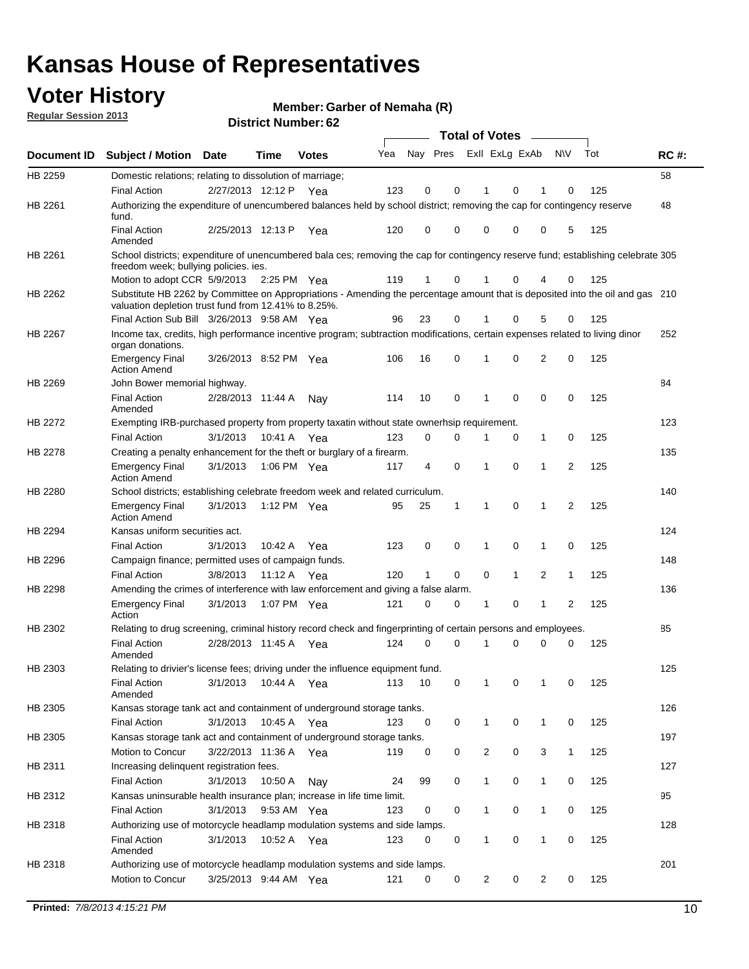## **Voter History**

**Member: Garber of Nemaha (R)** 

**Regular Session 2013**

|                    |                                                                                                                                                                                       |                       | אט הסעוווטנו ועוווסו |              |     |                         |             | <b>Total of Votes</b> |              | $\sim$         |              |     |             |
|--------------------|---------------------------------------------------------------------------------------------------------------------------------------------------------------------------------------|-----------------------|----------------------|--------------|-----|-------------------------|-------------|-----------------------|--------------|----------------|--------------|-----|-------------|
| <b>Document ID</b> | <b>Subject / Motion</b>                                                                                                                                                               | Date                  | Time                 | <b>Votes</b> | Yea | Nay Pres Exll ExLg ExAb |             |                       |              |                | N\V          | Tot | <b>RC#:</b> |
| HB 2259            | Domestic relations; relating to dissolution of marriage;                                                                                                                              |                       |                      |              |     |                         |             |                       |              |                |              |     | 58          |
|                    | <b>Final Action</b>                                                                                                                                                                   | 2/27/2013 12:12 P     |                      | Yea          | 123 | 0                       | 0           | 1                     | 0            | 1              | $\Omega$     | 125 |             |
| HB 2261            | Authorizing the expenditure of unencumbered balances held by school district; removing the cap for contingency reserve<br>fund.                                                       |                       |                      |              |     |                         |             |                       |              |                |              |     | 48          |
|                    | <b>Final Action</b><br>Amended                                                                                                                                                        | 2/25/2013 12:13 P     |                      | Yea          | 120 | 0                       | 0           | 0                     | 0            | 0              | 5            | 125 |             |
| HB 2261            | School districts; expenditure of unencumbered bala ces; removing the cap for contingency reserve fund; establishing celebrate 305<br>freedom week; bullying policies. ies.            |                       |                      |              |     |                         |             |                       |              |                |              |     |             |
|                    | Motion to adopt CCR 5/9/2013                                                                                                                                                          |                       | 2:25 PM Yea          |              | 119 | 1                       | 0           |                       | 0            | 4              | 0            | 125 |             |
| HB 2262            | Substitute HB 2262 by Committee on Appropriations - Amending the percentage amount that is deposited into the oil and gas 210<br>valuation depletion trust fund from 12.41% to 8.25%. |                       |                      |              |     |                         |             |                       |              |                |              |     |             |
|                    | Final Action Sub Bill 3/26/2013 9:58 AM Yea                                                                                                                                           |                       |                      |              | 96  | 23                      | 0           |                       | 0            | 5              | 0            | 125 |             |
| HB 2267            | Income tax, credits, high performance incentive program; subtraction modifications, certain expenses related to living dinor<br>organ donations.                                      |                       |                      |              |     |                         |             |                       |              |                |              |     | 252         |
|                    | <b>Emergency Final</b><br><b>Action Amend</b>                                                                                                                                         | 3/26/2013 8:52 PM Yea |                      |              | 106 | 16                      | 0           | 1                     | 0            | $\overline{2}$ | 0            | 125 |             |
| HB 2269            | John Bower memorial highway.                                                                                                                                                          |                       |                      |              |     |                         |             |                       |              |                |              |     | 84          |
|                    | <b>Final Action</b><br>Amended                                                                                                                                                        | 2/28/2013 11:44 A     |                      | Nay          | 114 | 10                      | 0           | 1                     | 0            | 0              | 0            | 125 |             |
| HB 2272            | Exempting IRB-purchased property from property taxatin without state ownerhsip requirement.                                                                                           |                       |                      |              |     |                         |             |                       |              |                |              |     | 123         |
|                    | <b>Final Action</b>                                                                                                                                                                   | 3/1/2013              | 10:41 A              | Yea          | 123 | 0                       | 0           | 1                     | 0            | $\mathbf{1}$   | 0            | 125 |             |
| HB 2278            | Creating a penalty enhancement for the theft or burglary of a firearm.                                                                                                                |                       |                      |              |     |                         |             |                       |              |                |              |     | 135         |
|                    | <b>Emergency Final</b><br><b>Action Amend</b>                                                                                                                                         | 3/1/2013              | 1:06 PM Yea          |              | 117 | 4                       | $\mathbf 0$ | $\mathbf 1$           | $\Omega$     | 1              | 2            | 125 |             |
| HB 2280            | School districts; establishing celebrate freedom week and related curriculum.                                                                                                         |                       |                      |              |     |                         |             |                       |              |                |              |     | 140         |
|                    | <b>Emergency Final</b><br><b>Action Amend</b>                                                                                                                                         | 3/1/2013              | 1:12 PM Yea          |              | 95  | 25                      | 1           | 1                     | 0            | 1              | 2            | 125 |             |
| HB 2294            | Kansas uniform securities act.                                                                                                                                                        |                       |                      |              |     |                         |             |                       |              |                |              |     | 124         |
|                    | <b>Final Action</b>                                                                                                                                                                   | 3/1/2013              | 10:42 A Yea          |              | 123 | 0                       | 0           | 1                     | $\mathbf 0$  | $\mathbf{1}$   | 0            | 125 |             |
| HB 2296            | Campaign finance; permitted uses of campaign funds.                                                                                                                                   |                       |                      |              |     |                         |             |                       |              |                |              |     | 148         |
|                    | <b>Final Action</b>                                                                                                                                                                   | 3/8/2013              | 11:12 A Yea          |              | 120 | $\mathbf{1}$            | 0           | 0                     | $\mathbf{1}$ | $\overline{2}$ | $\mathbf{1}$ | 125 |             |
| HB 2298            | Amending the crimes of interference with law enforcement and giving a false alarm.                                                                                                    |                       |                      |              |     |                         |             |                       |              |                |              |     | 136         |
|                    | <b>Emergency Final</b><br>Action                                                                                                                                                      | 3/1/2013              | 1:07 PM Yea          |              | 121 | 0                       | 0           | 1                     | 0            | $\mathbf{1}$   | 2            | 125 |             |
| HB 2302            | Relating to drug screening, criminal history record check and fingerprinting of certain persons and employees.                                                                        |                       |                      |              |     |                         |             |                       |              |                |              |     | 85          |
|                    | <b>Final Action</b><br>Amended                                                                                                                                                        | 2/28/2013 11:45 A Yea |                      |              | 124 | 0                       | $\Omega$    | 1                     | 0            | 0              | $\mathbf 0$  | 125 |             |
| HB 2303            | Relating to drivier's license fees; driving under the influence equipment fund.                                                                                                       |                       |                      |              |     |                         |             |                       |              |                |              |     | 125         |
|                    | <b>Final Action</b><br>Amended                                                                                                                                                        | 3/1/2013              | 10:44 A              | Yea          | 113 | 10                      | 0           | $\mathbf 1$           | 0            | 1              | 0            | 125 |             |
| HB 2305            | Kansas storage tank act and containment of underground storage tanks.                                                                                                                 |                       |                      |              |     |                         |             |                       |              |                |              |     | 126         |
|                    | <b>Final Action</b>                                                                                                                                                                   | 3/1/2013              | 10:45 A              | Yea          | 123 | 0                       | 0           | 1                     | 0            | 1              | 0            | 125 |             |
| HB 2305            | Kansas storage tank act and containment of underground storage tanks.                                                                                                                 |                       |                      |              |     |                         |             |                       |              |                |              |     | 197         |
|                    | Motion to Concur                                                                                                                                                                      | 3/22/2013 11:36 A     |                      | Yea          | 119 | 0                       | 0           | 2                     | 0            | 3              | $\mathbf{1}$ | 125 |             |
| HB 2311            | Increasing delinquent registration fees.                                                                                                                                              |                       |                      |              |     |                         |             |                       |              |                |              |     | 127         |
|                    | <b>Final Action</b>                                                                                                                                                                   | 3/1/2013              | 10:50 A              | Nay          | 24  | 99                      | 0           | $\mathbf{1}$          | 0            | $\mathbf{1}$   | 0            | 125 |             |
| HB 2312            | Kansas uninsurable health insurance plan; increase in life time limit.                                                                                                                |                       |                      |              |     |                         |             |                       |              |                |              |     | 95          |
|                    | <b>Final Action</b>                                                                                                                                                                   | 3/1/2013              | 9:53 AM Yea          |              | 123 | 0                       | 0           | 1                     | 0            | 1              | 0            | 125 |             |
| HB 2318            | Authorizing use of motorcycle headlamp modulation systems and side lamps.                                                                                                             |                       |                      |              |     |                         |             |                       |              |                |              |     | 128         |
|                    | <b>Final Action</b><br>Amended                                                                                                                                                        | 3/1/2013              | 10:52 A Yea          |              | 123 | 0                       | 0           | 1                     | 0            | 1              | 0            | 125 |             |
| HB 2318            | Authorizing use of motorcycle headlamp modulation systems and side lamps.                                                                                                             |                       |                      |              |     |                         |             |                       |              |                |              |     | 201         |
|                    | Motion to Concur                                                                                                                                                                      | 3/25/2013 9:44 AM Yea |                      |              | 121 | 0                       | 0           | 2                     | 0            | $\overline{2}$ | 0            | 125 |             |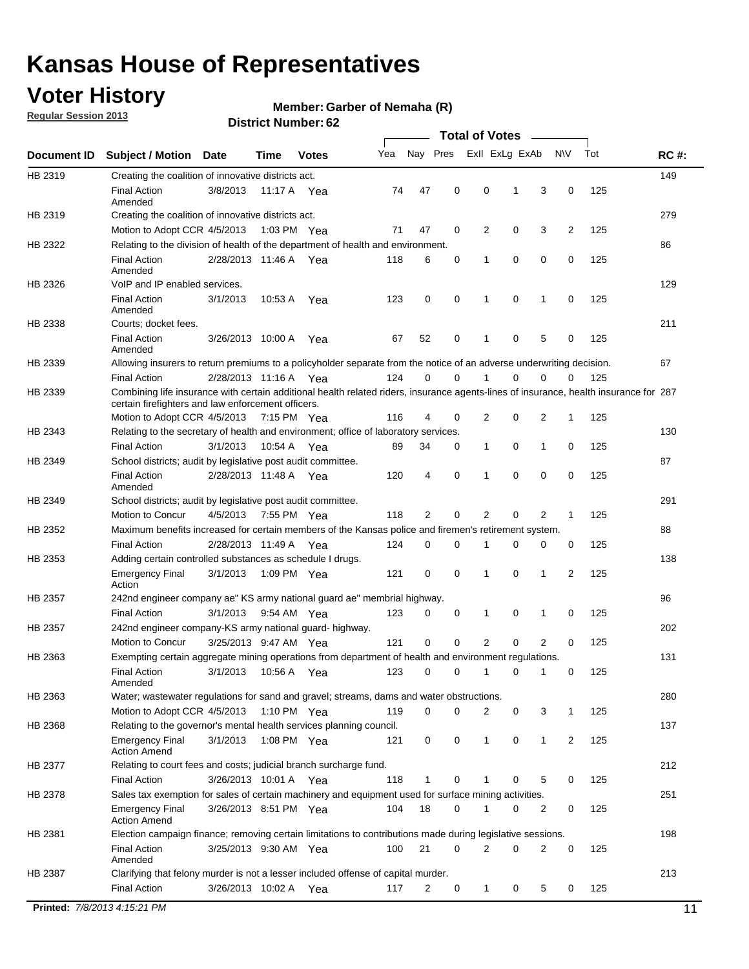## **Voter History**

**Regular Session 2013**

#### **Member: Garber of Nemaha (R)**

|             |                                                                                                                                                                                             |                       |             |              |     |             |             | <b>Total of Votes</b> |   |                |           |     |             |
|-------------|---------------------------------------------------------------------------------------------------------------------------------------------------------------------------------------------|-----------------------|-------------|--------------|-----|-------------|-------------|-----------------------|---|----------------|-----------|-----|-------------|
| Document ID | <b>Subject / Motion</b>                                                                                                                                                                     | Date                  | Time        | <b>Votes</b> | Yea | Nay Pres    |             | Exll ExLg ExAb        |   |                | <b>NV</b> | Tot | <b>RC#:</b> |
| HB 2319     | Creating the coalition of innovative districts act.                                                                                                                                         |                       |             |              |     |             |             |                       |   |                |           |     | 149         |
|             | <b>Final Action</b><br>Amended                                                                                                                                                              | 3/8/2013              | 11:17 A     | Yea          | 74  | 47          | 0           | 0                     | 1 | 3              | 0         | 125 |             |
| HB 2319     | Creating the coalition of innovative districts act.                                                                                                                                         |                       |             |              |     |             |             |                       |   |                |           |     | 279         |
|             | Motion to Adopt CCR 4/5/2013                                                                                                                                                                |                       | 1:03 PM Yea |              | 71  | 47          | 0           | 2                     | 0 | 3              | 2         | 125 |             |
| HB 2322     | Relating to the division of health of the department of health and environment.                                                                                                             |                       |             |              |     |             |             |                       |   |                |           |     | 86          |
|             | <b>Final Action</b><br>Amended                                                                                                                                                              | 2/28/2013 11:46 A Yea |             |              | 118 | 6           | 0           | 1                     | 0 | 0              | 0         | 125 |             |
| HB 2326     | VoIP and IP enabled services.                                                                                                                                                               |                       |             |              |     |             |             |                       |   |                |           |     | 129         |
|             | <b>Final Action</b><br>Amended                                                                                                                                                              | 3/1/2013              | 10:53 A     | Yea          | 123 | $\mathbf 0$ | 0           | $\mathbf{1}$          | 0 | 1              | 0         | 125 |             |
| HB 2338     | Courts; docket fees.                                                                                                                                                                        |                       |             |              |     |             |             |                       |   |                |           |     | 211         |
|             | <b>Final Action</b><br>Amended                                                                                                                                                              | 3/26/2013 10:00 A     |             | Yea          | 67  | 52          | 0           | 1                     | 0 | 5              | 0         | 125 |             |
| HB 2339     | Allowing insurers to return premiums to a policyholder separate from the notice of an adverse underwriting decision.                                                                        |                       |             |              |     |             |             |                       |   |                |           |     | 67          |
|             | <b>Final Action</b>                                                                                                                                                                         | 2/28/2013 11:16 A Yea |             |              | 124 | 0           | 0           |                       | 0 | 0              | 0         | 125 |             |
| HB 2339     | Combining life insurance with certain additional health related riders, insurance agents-lines of insurance, health insurance for 287<br>certain firefighters and law enforcement officers. |                       |             |              |     |             |             |                       |   |                |           |     |             |
|             | Motion to Adopt CCR 4/5/2013 7:15 PM Yea                                                                                                                                                    |                       |             |              | 116 | 4           | 0           | 2                     | 0 | 2              | -1        | 125 |             |
| HB 2343     | Relating to the secretary of health and environment; office of laboratory services.                                                                                                         |                       |             |              |     |             |             |                       |   |                |           |     | 130         |
|             | <b>Final Action</b>                                                                                                                                                                         | 3/1/2013              | 10:54 A Yea |              | 89  | 34          | 0           | 1                     | 0 | 1              | 0         | 125 |             |
| HB 2349     | School districts; audit by legislative post audit committee.                                                                                                                                |                       |             |              |     |             |             |                       |   |                |           |     | 87          |
|             | <b>Final Action</b><br>Amended                                                                                                                                                              | 2/28/2013 11:48 A Yea |             |              | 120 | 4           | $\mathbf 0$ | 1                     | 0 | 0              | 0         | 125 |             |
| HB 2349     | School districts; audit by legislative post audit committee.                                                                                                                                |                       |             |              |     |             |             |                       |   |                |           |     | 291         |
|             | Motion to Concur                                                                                                                                                                            | 4/5/2013              | 7:55 PM Yea |              | 118 | 2           | $\mathbf 0$ | 2                     | 0 | 2              | 1         | 125 |             |
| HB 2352     | Maximum benefits increased for certain members of the Kansas police and firemen's retirement system.                                                                                        |                       |             |              |     |             |             |                       |   |                |           |     | 88          |
|             | <b>Final Action</b>                                                                                                                                                                         | 2/28/2013 11:49 A     |             | Yea          | 124 | 0           | 0           | 1                     | 0 | 0              | 0         | 125 |             |
| HB 2353     | Adding certain controlled substances as schedule I drugs.                                                                                                                                   |                       |             |              |     |             |             |                       |   |                |           |     | 138         |
|             | <b>Emergency Final</b><br>Action                                                                                                                                                            | 3/1/2013              |             | 1:09 PM Yea  | 121 | 0           | 0           | 1                     | 0 | 1              | 2         | 125 |             |
| HB 2357     | 242nd engineer company ae" KS army national guard ae" membrial highway.                                                                                                                     |                       |             |              |     |             |             |                       |   |                |           |     | 96          |
|             | <b>Final Action</b>                                                                                                                                                                         | 3/1/2013              | 9:54 AM Yea |              | 123 | 0           | 0           | 1                     | 0 | 1              | 0         | 125 |             |
| HB 2357     | 242nd engineer company-KS army national guard- highway.                                                                                                                                     |                       |             |              |     |             |             |                       |   |                |           |     | 202         |
|             | Motion to Concur                                                                                                                                                                            | 3/25/2013 9:47 AM Yea |             |              | 121 | $\mathbf 0$ | $\mathbf 0$ | $\overline{2}$        | 0 | $\overline{2}$ | 0         | 125 |             |
| HB 2363     | Exempting certain aggregate mining operations from department of health and environment regulations.                                                                                        |                       |             |              |     |             |             |                       |   |                |           |     | 131         |
|             | <b>Final Action</b><br>Amended                                                                                                                                                              | 3/1/2013              | 10:56 A     | Yea          | 123 | 0           | 0           | 1                     | 0 | 1              | 0         | 125 |             |
| HB 2363     | Water; wastewater regulations for sand and gravel; streams, dams and water obstructions.                                                                                                    |                       |             |              |     |             |             |                       |   |                |           |     | 280         |
|             | Motion to Adopt CCR 4/5/2013                                                                                                                                                                |                       |             | 1:10 PM Yea  | 119 | 0           | 0           | 2                     | 0 | 3              |           | 125 |             |
| HB 2368     | Relating to the governor's mental health services planning council.                                                                                                                         |                       |             |              |     |             |             |                       |   |                |           |     | 137         |
|             | Emergency Final<br><b>Action Amend</b>                                                                                                                                                      | 3/1/2013              | 1:08 PM Yea |              | 121 | 0           | 0           | $\mathbf{1}$          | 0 | 1              | 2         | 125 |             |
| HB 2377     | Relating to court fees and costs; judicial branch surcharge fund.                                                                                                                           |                       |             |              |     |             |             |                       |   |                |           |     | 212         |
|             | <b>Final Action</b>                                                                                                                                                                         | 3/26/2013 10:01 A Yea |             |              | 118 | 1           | 0           |                       | 0 | 5              | 0         | 125 |             |
| HB 2378     | Sales tax exemption for sales of certain machinery and equipment used for surface mining activities.                                                                                        |                       |             |              |     |             |             |                       |   |                |           |     | 251         |
|             | <b>Emergency Final</b><br><b>Action Amend</b>                                                                                                                                               | 3/26/2013 8:51 PM Yea |             |              | 104 | 18          | 0           | 1                     | 0 | 2              | 0         | 125 |             |
| HB 2381     | Election campaign finance; removing certain limitations to contributions made during legislative sessions.                                                                                  |                       |             |              |     |             |             |                       |   |                |           |     | 198         |
|             | Final Action<br>Amended                                                                                                                                                                     | 3/25/2013 9:30 AM Yea |             |              | 100 | 21          | 0           | 2                     | 0 | 2              | 0         | 125 |             |
| HB 2387     | Clarifying that felony murder is not a lesser included offense of capital murder.                                                                                                           |                       |             |              |     |             |             |                       |   |                |           |     | 213         |
|             | <b>Final Action</b>                                                                                                                                                                         | 3/26/2013 10:02 A     |             | Yea          | 117 | 2           | 0           | $\mathbf{1}$          | 0 | 5              | 0         | 125 |             |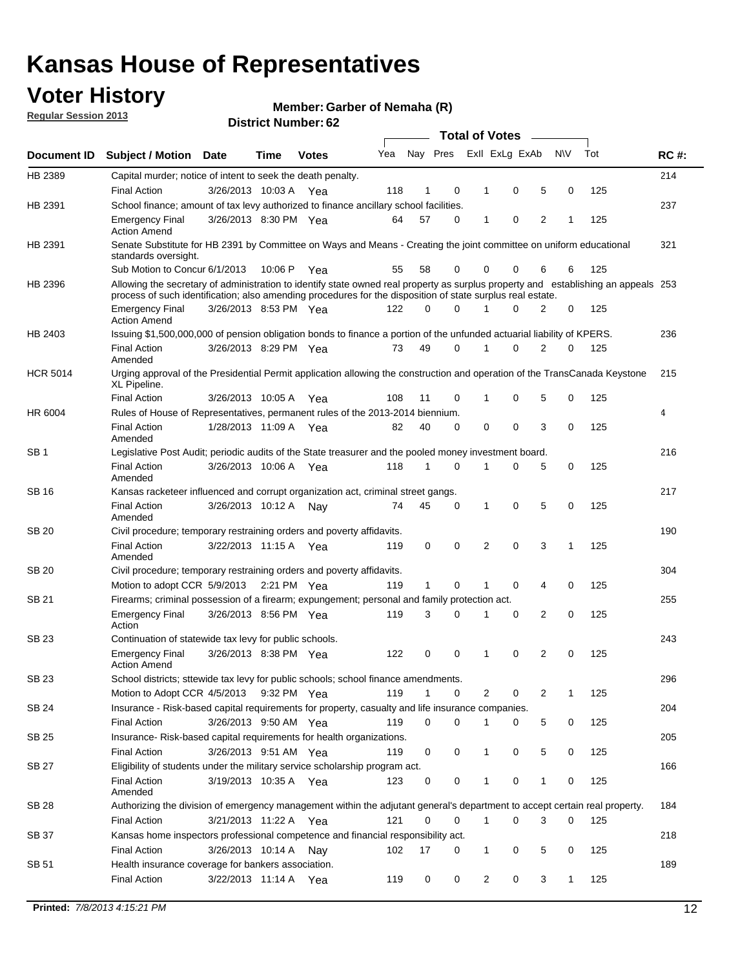## **Voter History**

**Member: Garber of Nemaha (R)** 

**Regular Session 2013**

|                 |                                                                                                                                                                                                                                                  |                       |         | אט הסעוווטנו ועוווסוט |     |              |          | <b>Total of Votes</b> | $\sim$         |           |     |             |
|-----------------|--------------------------------------------------------------------------------------------------------------------------------------------------------------------------------------------------------------------------------------------------|-----------------------|---------|-----------------------|-----|--------------|----------|-----------------------|----------------|-----------|-----|-------------|
| Document ID     | <b>Subject / Motion Date</b>                                                                                                                                                                                                                     |                       | Time    | <b>Votes</b>          | Yea |              | Nay Pres | Exll ExLg ExAb        |                | <b>NV</b> | Tot | <b>RC#:</b> |
| HB 2389         | Capital murder; notice of intent to seek the death penalty.                                                                                                                                                                                      |                       |         |                       |     |              |          |                       |                |           |     | 214         |
|                 | <b>Final Action</b>                                                                                                                                                                                                                              | 3/26/2013 10:03 A Yea |         |                       | 118 | 1            | 0        | 0<br>1                | 5              | 0         | 125 |             |
| HB 2391         | School finance; amount of tax levy authorized to finance ancillary school facilities.                                                                                                                                                            |                       |         |                       |     |              |          |                       |                |           |     | 237         |
|                 | <b>Emergency Final</b><br><b>Action Amend</b>                                                                                                                                                                                                    | 3/26/2013 8:30 PM Yea |         |                       | 64  | 57           | $\Omega$ | 0<br>1                | $\overline{2}$ | 1         | 125 |             |
| HB 2391         | Senate Substitute for HB 2391 by Committee on Ways and Means - Creating the joint committee on uniform educational<br>standards oversight.                                                                                                       |                       |         |                       |     |              |          |                       |                |           |     | 321         |
|                 | Sub Motion to Concur 6/1/2013                                                                                                                                                                                                                    |                       | 10:06 P | Yea                   | 55  | 58           | 0        | 0<br>0                | 6              | 6         | 125 |             |
| HB 2396         | Allowing the secretary of administration to identify state owned real property as surplus property and establishing an appeals 253<br>process of such identification; also amending procedures for the disposition of state surplus real estate. |                       |         |                       |     |              |          |                       |                |           |     |             |
|                 | <b>Emergency Final</b><br><b>Action Amend</b>                                                                                                                                                                                                    | 3/26/2013 8:53 PM Yea |         |                       | 122 | 0            | $\Omega$ | 0                     | 2              | 0         | 125 |             |
| HB 2403         | Issuing \$1,500,000,000 of pension obligation bonds to finance a portion of the unfunded actuarial liability of KPERS.                                                                                                                           |                       |         |                       |     |              |          |                       |                |           |     | 236         |
|                 | <b>Final Action</b><br>Amended                                                                                                                                                                                                                   | 3/26/2013 8:29 PM Yea |         |                       | 73  | 49           | 0        | 0<br>1                | 2              | 0         | 125 |             |
| <b>HCR 5014</b> | Urging approval of the Presidential Permit application allowing the construction and operation of the TransCanada Keystone<br>XL Pipeline.                                                                                                       |                       |         |                       |     |              |          |                       |                |           |     | 215         |
|                 | <b>Final Action</b>                                                                                                                                                                                                                              | 3/26/2013 10:05 A     |         | Yea                   | 108 | 11           | 0        | 0<br>1                | 5              | 0         | 125 |             |
| HR 6004         | Rules of House of Representatives, permanent rules of the 2013-2014 biennium.                                                                                                                                                                    |                       |         |                       |     |              |          |                       |                |           |     | 4           |
|                 | <b>Final Action</b><br>Amended                                                                                                                                                                                                                   | 1/28/2013 11:09 A Yea |         |                       | 82  | 40           | 0        | 0<br>0                | 3              | 0         | 125 |             |
| SB <sub>1</sub> | Legislative Post Audit; periodic audits of the State treasurer and the pooled money investment board.                                                                                                                                            |                       |         |                       |     |              |          |                       |                |           |     | 216         |
|                 | <b>Final Action</b><br>Amended                                                                                                                                                                                                                   | 3/26/2013 10:06 A     |         | Yea                   | 118 | 1            | $\Omega$ | 0<br>1                | 5              | 0         | 125 |             |
| SB 16           | Kansas racketeer influenced and corrupt organization act, criminal street gangs.                                                                                                                                                                 |                       |         |                       |     |              |          |                       |                |           |     | 217         |
|                 | <b>Final Action</b><br>Amended                                                                                                                                                                                                                   | 3/26/2013 10:12 A     |         | Nav                   | 74  | 45           | 0        | 0<br>1                | 5              | 0         | 125 |             |
| <b>SB 20</b>    | Civil procedure; temporary restraining orders and poverty affidavits.                                                                                                                                                                            |                       |         |                       |     |              |          |                       |                |           |     | 190         |
|                 | <b>Final Action</b><br>Amended                                                                                                                                                                                                                   | 3/22/2013 11:15 A     |         | Yea                   | 119 | 0            | 0        | 0<br>2                | 3              | 1         | 125 |             |
| SB 20           | Civil procedure; temporary restraining orders and poverty affidavits.                                                                                                                                                                            |                       |         |                       |     |              |          |                       |                |           |     | 304         |
|                 | Motion to adopt CCR 5/9/2013                                                                                                                                                                                                                     |                       |         | 2:21 PM Yea           | 119 | $\mathbf{1}$ | 0        | 0<br>1                | 4              | 0         | 125 |             |
| <b>SB 21</b>    | Firearms; criminal possession of a firearm; expungement; personal and family protection act.                                                                                                                                                     |                       |         |                       |     |              |          |                       |                |           |     | 255         |
|                 | <b>Emergency Final</b><br>Action                                                                                                                                                                                                                 | 3/26/2013 8:56 PM Yea |         |                       | 119 | 3            | $\Omega$ | 0<br>1                | 2              | 0         | 125 |             |
| <b>SB 23</b>    | Continuation of statewide tax levy for public schools.                                                                                                                                                                                           |                       |         |                       |     |              |          |                       |                |           |     | 243         |
|                 | <b>Emergency Final</b><br><b>Action Amend</b>                                                                                                                                                                                                    | 3/26/2013 8:38 PM Yea |         |                       | 122 | 0            | 0        | 0<br>1                | 2              | 0         | 125 |             |
| SB 23           | School districts; sttewide tax levy for public schools; school finance amendments.                                                                                                                                                               |                       |         |                       |     |              |          |                       |                |           |     | 296         |
|                 | Motion to Adopt CCR 4/5/2013                                                                                                                                                                                                                     |                       |         | 9:32 PM Yea           | 119 | 1            | 0        | 2<br>0                | 2              | 1         | 125 |             |
| <b>SB 24</b>    | Insurance - Risk-based capital requirements for property, casualty and life insurance companies.                                                                                                                                                 |                       |         |                       |     |              |          |                       |                |           |     | 204         |
|                 | Final Action                                                                                                                                                                                                                                     | 3/26/2013 9:50 AM Yea |         |                       | 119 | 0            | 0        | 0<br>1                | 5              | 0         | 125 |             |
| <b>SB 25</b>    | Insurance-Risk-based capital requirements for health organizations.                                                                                                                                                                              |                       |         |                       |     |              |          |                       |                |           |     | 205         |
|                 | Final Action                                                                                                                                                                                                                                     | 3/26/2013 9:51 AM Yea |         |                       | 119 | 0            | 0        | 0<br>1                | 5              | 0         | 125 |             |
| <b>SB 27</b>    | Eligibility of students under the military service scholarship program act.                                                                                                                                                                      |                       |         |                       |     |              |          |                       |                |           |     | 166         |
|                 | <b>Final Action</b><br>Amended                                                                                                                                                                                                                   | 3/19/2013 10:35 A Yea |         |                       | 123 | 0            | 0        | 0                     | 1              | 0         | 125 |             |
| SB 28           | Authorizing the division of emergency management within the adjutant general's department to accept certain real property.                                                                                                                       |                       |         |                       |     |              |          |                       |                |           |     | 184         |
|                 | <b>Final Action</b>                                                                                                                                                                                                                              | 3/21/2013 11:22 A Yea |         |                       | 121 | 0            | 0        | $\mathbf{1}$<br>0     | 3              | 0         | 125 |             |
| SB 37           | Kansas home inspectors professional competence and financial responsibility act.                                                                                                                                                                 |                       |         |                       |     |              |          |                       |                |           |     | 218         |
|                 | <b>Final Action</b>                                                                                                                                                                                                                              | 3/26/2013 10:14 A Nay |         |                       | 102 | 17           | 0        | 1<br>0                | 5              | 0         | 125 |             |
| SB 51           | Health insurance coverage for bankers association.                                                                                                                                                                                               |                       |         |                       |     |              |          |                       |                |           |     | 189         |
|                 | Final Action                                                                                                                                                                                                                                     | 3/22/2013 11:14 A Yea |         |                       | 119 | 0            | 0        | 2<br>0                | 3              | 1         | 125 |             |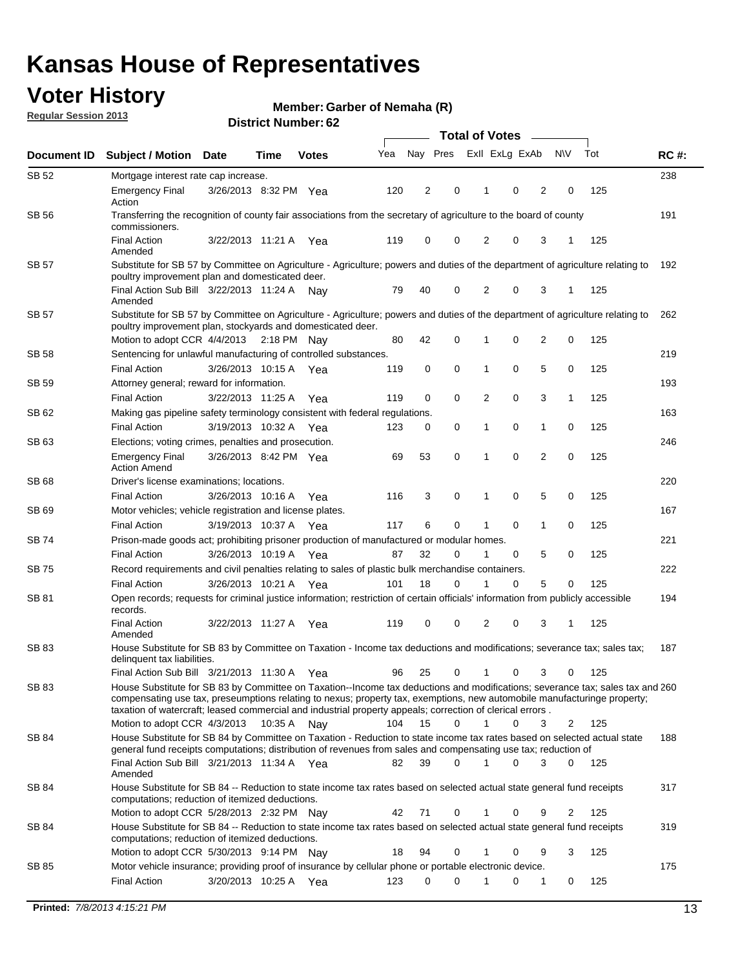## **Voter History**

**Member: Garber of Nemaha (R)** 

**Regular Session 2013**

|                    |                                                                                                                                                                                                                                                                                                                                                                         |                       |             |       |     | <b>Total of Votes</b> |             |  |                |          |    |           |     |             |
|--------------------|-------------------------------------------------------------------------------------------------------------------------------------------------------------------------------------------------------------------------------------------------------------------------------------------------------------------------------------------------------------------------|-----------------------|-------------|-------|-----|-----------------------|-------------|--|----------------|----------|----|-----------|-----|-------------|
| <b>Document ID</b> | <b>Subject / Motion Date</b>                                                                                                                                                                                                                                                                                                                                            |                       | Time        | Votes | Yea |                       | Nay Pres    |  | Exll ExLg ExAb |          |    | <b>NV</b> | Tot | <b>RC#:</b> |
| <b>SB 52</b>       | Mortgage interest rate cap increase.                                                                                                                                                                                                                                                                                                                                    |                       |             |       |     |                       |             |  |                |          |    |           |     | 238         |
|                    | <b>Emergency Final</b><br>Action                                                                                                                                                                                                                                                                                                                                        | 3/26/2013 8:32 PM Yea |             |       | 120 | 2                     | 0           |  | 1              | 0        | 2  | 0         | 125 |             |
| SB 56              | Transferring the recognition of county fair associations from the secretary of agriculture to the board of county<br>commissioners.                                                                                                                                                                                                                                     |                       |             |       |     |                       |             |  |                |          |    |           |     | 191         |
|                    | <b>Final Action</b><br>Amended                                                                                                                                                                                                                                                                                                                                          | 3/22/2013 11:21 A     |             | Yea   | 119 | 0                     | 0           |  | 2              | 0        | 3  |           | 125 |             |
| SB 57              | Substitute for SB 57 by Committee on Agriculture - Agriculture; powers and duties of the department of agriculture relating to                                                                                                                                                                                                                                          |                       |             |       |     |                       |             |  |                |          |    |           |     | 192         |
|                    | poultry improvement plan and domesticated deer.<br>Final Action Sub Bill 3/22/2013 11:24 A<br>Amended                                                                                                                                                                                                                                                                   |                       |             | Nav   | 79  | 40                    | 0           |  | 2              | $\Omega$ | 3  |           | 125 |             |
| SB 57              | Substitute for SB 57 by Committee on Agriculture - Agriculture; powers and duties of the department of agriculture relating to<br>poultry improvement plan, stockyards and domesticated deer.                                                                                                                                                                           |                       |             |       |     |                       |             |  |                |          |    |           |     | 262         |
|                    | Motion to adopt CCR 4/4/2013 2:18 PM Nav                                                                                                                                                                                                                                                                                                                                |                       |             |       | 80  | 42                    | 0           |  | 1              | 0        | 2  | 0         | 125 |             |
| SB 58              | Sentencing for unlawful manufacturing of controlled substances.                                                                                                                                                                                                                                                                                                         |                       |             |       |     |                       |             |  |                |          |    |           |     | 219         |
|                    | <b>Final Action</b>                                                                                                                                                                                                                                                                                                                                                     | 3/26/2013 10:15 A     |             | Yea   | 119 | 0                     | $\mathbf 0$ |  | 1              | 0        | 5  | 0         | 125 |             |
| <b>SB 59</b>       | Attorney general; reward for information.                                                                                                                                                                                                                                                                                                                               |                       |             |       |     |                       |             |  |                |          |    |           |     | 193         |
|                    | <b>Final Action</b>                                                                                                                                                                                                                                                                                                                                                     | 3/22/2013 11:25 A     |             | Yea   | 119 | 0                     | 0           |  | $\overline{2}$ | 0        | 3  | 1         | 125 |             |
| SB 62              | Making gas pipeline safety terminology consistent with federal regulations.                                                                                                                                                                                                                                                                                             |                       |             |       |     |                       |             |  |                |          |    |           |     | 163         |
|                    | <b>Final Action</b>                                                                                                                                                                                                                                                                                                                                                     | 3/19/2013 10:32 A     |             | Yea   | 123 | 0                     | 0           |  | 1              | 0        | 1  | 0         | 125 |             |
| SB 63              | Elections; voting crimes, penalties and prosecution.                                                                                                                                                                                                                                                                                                                    |                       |             |       |     |                       |             |  |                |          |    |           |     | 246         |
|                    | <b>Emergency Final</b><br><b>Action Amend</b>                                                                                                                                                                                                                                                                                                                           | 3/26/2013 8:42 PM Yea |             |       | 69  | 53                    | $\mathbf 0$ |  | 1              | 0        | 2  | 0         | 125 |             |
| SB 68              | Driver's license examinations; locations.                                                                                                                                                                                                                                                                                                                               |                       |             |       |     |                       |             |  |                |          |    |           |     | 220         |
|                    | <b>Final Action</b>                                                                                                                                                                                                                                                                                                                                                     | 3/26/2013 10:16 A     |             | Yea   | 116 | 3                     | $\mathbf 0$ |  | 1              | 0        | 5  | 0         | 125 |             |
| SB 69              | Motor vehicles; vehicle registration and license plates.                                                                                                                                                                                                                                                                                                                |                       |             |       |     |                       |             |  |                |          |    |           |     | 167         |
|                    | <b>Final Action</b>                                                                                                                                                                                                                                                                                                                                                     | 3/19/2013 10:37 A     |             | Yea   | 117 | 6                     | $\mathbf 0$ |  | 1              | 0        | 1  | 0         | 125 |             |
| SB 74              | Prison-made goods act; prohibiting prisoner production of manufactured or modular homes.                                                                                                                                                                                                                                                                                |                       |             |       |     |                       |             |  |                |          |    |           |     | 221         |
|                    | <b>Final Action</b>                                                                                                                                                                                                                                                                                                                                                     | 3/26/2013 10:19 A     |             | Yea   | 87  | 32                    | 0           |  | 1              | 0        | 5  | 0         | 125 |             |
| SB 75              | Record requirements and civil penalties relating to sales of plastic bulk merchandise containers.                                                                                                                                                                                                                                                                       |                       |             |       |     |                       |             |  |                |          |    |           |     | 222         |
|                    | <b>Final Action</b>                                                                                                                                                                                                                                                                                                                                                     | 3/26/2013 10:21 A     |             | Yea   | 101 | 18                    | 0           |  | 1              | 0        | 5  | 0         | 125 |             |
| SB 81              | Open records; requests for criminal justice information; restriction of certain officials' information from publicly accessible<br>records.                                                                                                                                                                                                                             |                       |             |       |     |                       | $\mathbf 0$ |  | $\overline{2}$ | 0        | 3  |           |     | 194         |
|                    | <b>Final Action</b><br>Amended                                                                                                                                                                                                                                                                                                                                          | 3/22/2013 11:27 A     |             | Yea   | 119 | 0                     |             |  |                |          |    | 1         | 125 |             |
| <b>SB83</b>        | House Substitute for SB 83 by Committee on Taxation - Income tax deductions and modifications; severance tax; sales tax;<br>delinguent tax liabilities.                                                                                                                                                                                                                 |                       |             |       |     |                       |             |  |                |          |    |           |     | 187         |
|                    | Final Action Sub Bill 3/21/2013 11:30 A                                                                                                                                                                                                                                                                                                                                 |                       |             | Yea   | 96  | 25                    | 0           |  | $\mathbf{1}$   | 0        | 3  | 0         | 125 |             |
| SB 83              | House Substitute for SB 83 by Committee on Taxation--Income tax deductions and modifications; severance tax; sales tax and 260<br>compensating use tax, preseumptions relating to nexus; property tax, exemptions, new automobile manufacturinge property;<br>taxation of watercraft; leased commercial and industrial property appeals; correction of clerical errors. |                       |             |       |     |                       |             |  |                |          |    |           |     |             |
|                    | Motion to adopt CCR 4/3/2013                                                                                                                                                                                                                                                                                                                                            |                       | 10:35 A Nay |       | 104 | 15                    | 0           |  | 1              | 0        | 3  | 2         | 125 |             |
| SB 84              | House Substitute for SB 84 by Committee on Taxation - Reduction to state income tax rates based on selected actual state<br>general fund receipts computations; distribution of revenues from sales and compensating use tax; reduction of                                                                                                                              |                       |             |       |     |                       |             |  |                |          |    |           |     | 188         |
|                    | Final Action Sub Bill 3/21/2013 11:34 A Yea<br>Amended                                                                                                                                                                                                                                                                                                                  |                       |             |       | 82  | 39                    | 0           |  | 1              | 0        | 3  | 0         | 125 |             |
| SB 84              | House Substitute for SB 84 -- Reduction to state income tax rates based on selected actual state general fund receipts<br>computations; reduction of itemized deductions.                                                                                                                                                                                               |                       |             |       |     |                       |             |  |                |          |    |           |     | 317         |
|                    | 0<br>Motion to adopt CCR 5/28/2013 2:32 PM Nay<br>42<br>71<br>0<br>9<br>2<br>125<br>1                                                                                                                                                                                                                                                                                   |                       |             |       |     |                       |             |  |                |          |    |           |     |             |
| SB 84              | House Substitute for SB 84 -- Reduction to state income tax rates based on selected actual state general fund receipts<br>computations; reduction of itemized deductions.                                                                                                                                                                                               |                       |             |       |     |                       |             |  |                |          |    |           |     | 319         |
|                    | Motion to adopt CCR 5/30/2013 9:14 PM Nay                                                                                                                                                                                                                                                                                                                               |                       |             |       | 18  | 94                    | 0           |  | 1              | 0        | 9  | 3         | 125 |             |
| SB 85              | Motor vehicle insurance; providing proof of insurance by cellular phone or portable electronic device.                                                                                                                                                                                                                                                                  |                       |             |       |     |                       |             |  |                |          |    |           |     | 175         |
|                    | <b>Final Action</b>                                                                                                                                                                                                                                                                                                                                                     | 3/20/2013 10:25 A Yea |             |       | 123 | 0                     | 0           |  | 1              | 0        | -1 | 0         | 125 |             |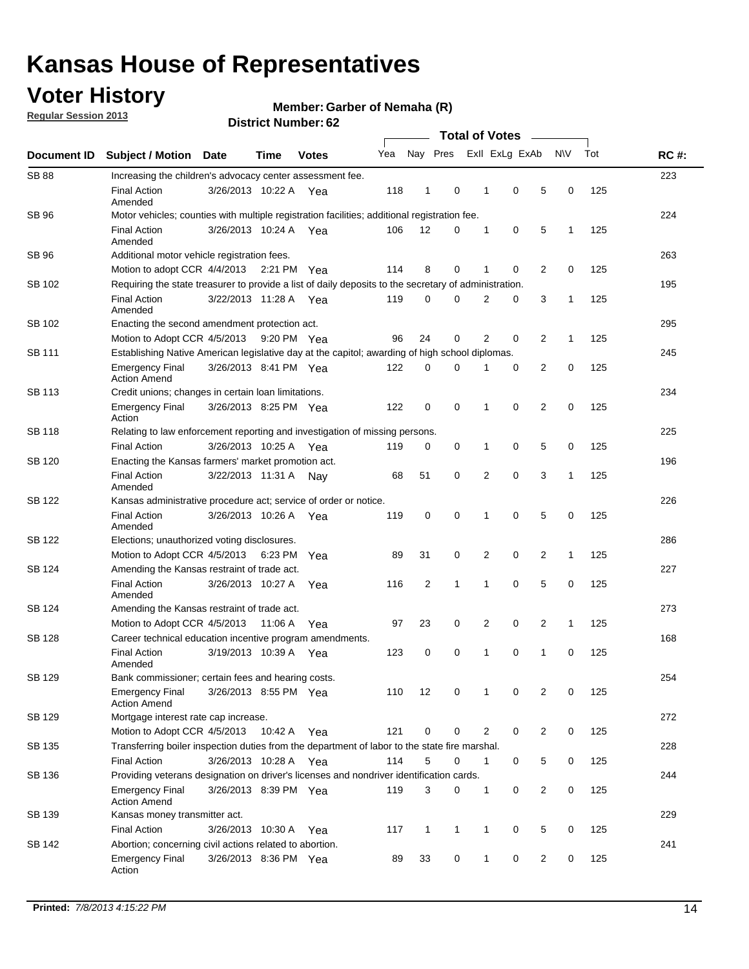## **Voter History**

**Regular Session 2013**

#### **Member: Garber of Nemaha (R)**

|                    |                                                                                                       | אט הסעוווטנו ועוווסו  | <b>Total of Votes</b> |              |     |              |              |  |                |                |                |              |     |             |
|--------------------|-------------------------------------------------------------------------------------------------------|-----------------------|-----------------------|--------------|-----|--------------|--------------|--|----------------|----------------|----------------|--------------|-----|-------------|
| <b>Document ID</b> | <b>Subject / Motion</b>                                                                               | Date                  | <b>Time</b>           | <b>Votes</b> | Yea |              | Nay Pres     |  |                | Exll ExLg ExAb |                | <b>NV</b>    | Tot | <b>RC#:</b> |
| <b>SB 88</b>       | Increasing the children's advocacy center assessment fee.                                             |                       |                       |              |     |              |              |  |                |                |                |              |     | 223         |
|                    | <b>Final Action</b><br>Amended                                                                        | 3/26/2013 10:22 A Yea |                       |              | 118 | $\mathbf{1}$ | 0            |  | $\mathbf 1$    | 0              | 5              | 0            | 125 |             |
| SB 96              | Motor vehicles; counties with multiple registration facilities; additional registration fee.          |                       |                       |              |     |              |              |  |                |                |                |              |     | 224         |
|                    | <b>Final Action</b><br>Amended                                                                        | 3/26/2013 10:24 A     |                       | Yea          | 106 | 12           | 0            |  | 1              | 0              | 5              | 1            | 125 |             |
| SB 96              | Additional motor vehicle registration fees.                                                           |                       |                       |              |     |              |              |  |                |                |                |              |     | 263         |
|                    | Motion to adopt CCR 4/4/2013                                                                          |                       | 2:21 PM Yea           |              | 114 | 8            | 0            |  | 1              | 0              | $\overline{2}$ | 0            | 125 |             |
| SB 102             | Requiring the state treasurer to provide a list of daily deposits to the secretary of administration. |                       |                       |              |     |              |              |  |                |                |                |              |     | 195         |
|                    | <b>Final Action</b><br>Amended                                                                        | 3/22/2013 11:28 A     |                       | Yea          | 119 | 0            | 0            |  | 2              | 0              | 3              | 1            | 125 |             |
| SB 102             | Enacting the second amendment protection act.                                                         |                       |                       |              |     |              |              |  |                |                |                |              |     | 295         |
|                    | Motion to Adopt CCR 4/5/2013                                                                          |                       | 9:20 PM Yea           |              | 96  | 24           | 0            |  | $\overline{2}$ | 0              | $\overline{2}$ | 1            | 125 |             |
| SB 111             | Establishing Native American legislative day at the capitol; awarding of high school diplomas.        |                       |                       |              |     |              |              |  |                |                |                |              |     | 245         |
|                    | <b>Emergency Final</b><br><b>Action Amend</b>                                                         | 3/26/2013 8:41 PM Yea |                       |              | 122 | 0            | $\Omega$     |  |                | 0              | $\overline{2}$ | 0            | 125 |             |
| SB 113             | Credit unions; changes in certain loan limitations.                                                   |                       |                       |              |     |              |              |  |                |                |                |              |     | 234         |
|                    | <b>Emergency Final</b><br>Action                                                                      | 3/26/2013 8:25 PM Yea |                       |              | 122 | 0            | 0            |  | 1              | $\mathbf 0$    | $\overline{2}$ | $\mathbf 0$  | 125 |             |
| <b>SB 118</b>      | Relating to law enforcement reporting and investigation of missing persons.                           |                       |                       |              |     |              |              |  |                |                |                |              |     | 225         |
|                    | <b>Final Action</b>                                                                                   | 3/26/2013 10:25 A     |                       | Yea          | 119 | 0            | 0            |  | 1              | 0              | 5              | 0            | 125 |             |
| SB 120             | Enacting the Kansas farmers' market promotion act.                                                    |                       |                       |              |     |              |              |  |                |                |                |              |     | 196         |
|                    | <b>Final Action</b><br>Amended                                                                        | 3/22/2013 11:31 A     |                       | Nav          | 68  | 51           | 0            |  | 2              | $\mathbf 0$    | 3              | 1            | 125 |             |
| SB 122             | Kansas administrative procedure act; service of order or notice.                                      |                       |                       |              |     |              |              |  |                |                |                |              |     | 226         |
|                    | <b>Final Action</b><br>Amended                                                                        | 3/26/2013 10:26 A     |                       | Yea          | 119 | 0            | 0            |  | 1              | 0              | 5              | 0            | 125 |             |
| SB 122             | Elections; unauthorized voting disclosures.                                                           |                       |                       |              |     |              |              |  |                |                |                |              |     | 286         |
|                    | Motion to Adopt CCR 4/5/2013                                                                          |                       | 6:23 PM               | Yea          | 89  | 31           | 0            |  | 2              | 0              | $\overline{2}$ | $\mathbf{1}$ | 125 |             |
| SB 124             | Amending the Kansas restraint of trade act.                                                           |                       |                       |              |     |              |              |  |                |                |                |              |     | 227         |
|                    | <b>Final Action</b><br>Amended                                                                        | 3/26/2013 10:27 A     |                       | Yea          | 116 | 2            | 1            |  | 1              | $\mathbf 0$    | 5              | $\mathbf 0$  | 125 |             |
| SB 124             | Amending the Kansas restraint of trade act.                                                           |                       |                       |              |     |              |              |  |                |                |                |              |     | 273         |
|                    | Motion to Adopt CCR 4/5/2013                                                                          |                       | 11:06 A               | Yea          | 97  | 23           | 0            |  | 2              | 0              | $\overline{2}$ | 1            | 125 |             |
| SB 128             | Career technical education incentive program amendments.                                              |                       |                       |              |     |              |              |  |                |                |                |              |     | 168         |
|                    | <b>Final Action</b><br>Amended                                                                        | 3/19/2013 10:39 A     |                       | Yea          | 123 | 0            | 0            |  | 1              | 0              | 1              | 0            | 125 |             |
| SB 129             | Bank commissioner; certain fees and hearing costs.                                                    |                       |                       |              |     |              |              |  |                |                |                |              |     | 254         |
|                    | <b>Emergency Final</b><br><b>Action Amend</b>                                                         | 3/26/2013 8:55 PM Yea |                       |              | 110 | 12           | 0            |  | 1              | 0              | 2              | 0            | 125 |             |
| SB 129             | Mortgage interest rate cap increase.                                                                  |                       |                       |              |     |              |              |  |                |                |                |              |     | 272         |
|                    | Motion to Adopt CCR 4/5/2013                                                                          |                       | 10:42 A Yea           |              | 121 | $\mathbf 0$  | 0            |  | 2              | 0              | $\overline{2}$ | 0            | 125 |             |
| SB 135             | Transferring boiler inspection duties from the department of labor to the state fire marshal.         |                       |                       |              |     |              |              |  |                |                |                |              |     | 228         |
|                    | <b>Final Action</b>                                                                                   | 3/26/2013 10:28 A Yea |                       |              | 114 | 5            | 0            |  | $\mathbf{1}$   | 0              | 5              | 0            | 125 |             |
| SB 136             | Providing veterans designation on driver's licenses and nondriver identification cards.               |                       |                       |              |     |              |              |  |                |                |                |              |     | 244         |
|                    | <b>Emergency Final</b><br><b>Action Amend</b>                                                         | 3/26/2013 8:39 PM Yea |                       |              | 119 | 3            | 0            |  | $\mathbf{1}$   | 0              | $\overline{2}$ | 0            | 125 |             |
| SB 139             | Kansas money transmitter act.                                                                         |                       |                       |              |     |              |              |  |                |                |                |              |     | 229         |
|                    | <b>Final Action</b>                                                                                   | 3/26/2013 10:30 A Yea |                       |              | 117 | $\mathbf{1}$ | $\mathbf{1}$ |  | $\mathbf{1}$   | 0              | 5              | 0            | 125 |             |
| SB 142             | Abortion; concerning civil actions related to abortion.                                               |                       |                       |              |     |              |              |  |                |                |                |              |     | 241         |
|                    | Emergency Final<br>Action                                                                             | 3/26/2013 8:36 PM Yea |                       |              | 89  | 33           | 0            |  | 1              | 0              | $\overline{2}$ | 0            | 125 |             |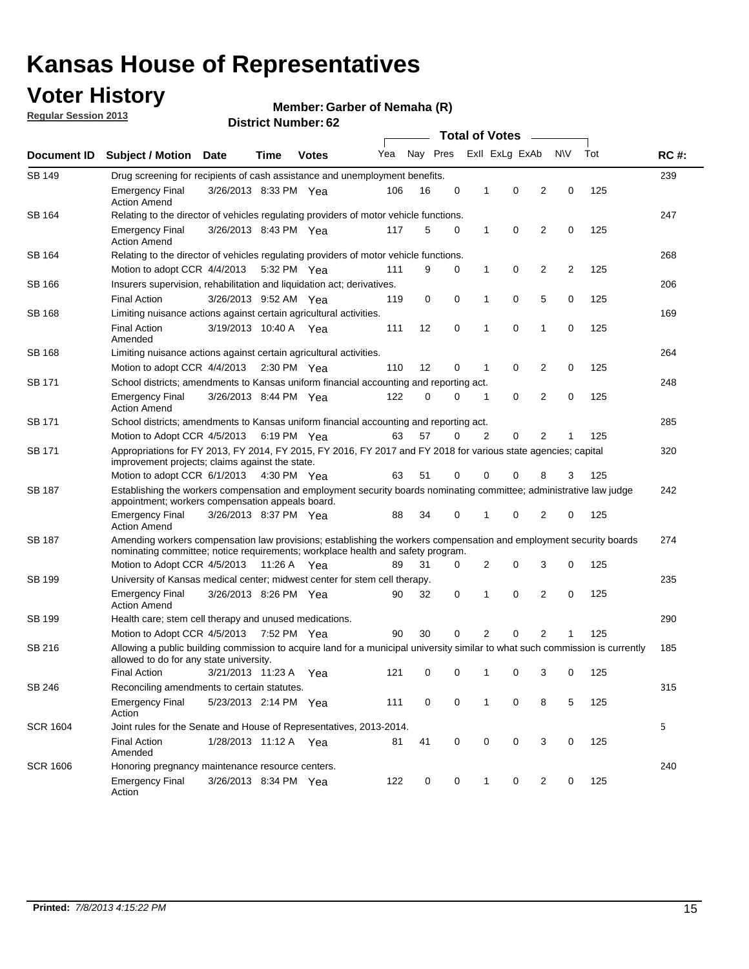## **Voter History**

**Member: Garber of Nemaha (R)** 

**Regular Session 2013**

| Document ID     |                                                                                                                                                                                                       |                                                                                    |             |              | <b>Total of Votes</b><br>$\sim$ |          |   |   |                |                |           |     |             |
|-----------------|-------------------------------------------------------------------------------------------------------------------------------------------------------------------------------------------------------|------------------------------------------------------------------------------------|-------------|--------------|---------------------------------|----------|---|---|----------------|----------------|-----------|-----|-------------|
|                 | <b>Subject / Motion Date</b>                                                                                                                                                                          |                                                                                    | Time        | <b>Votes</b> | Yea                             | Nay Pres |   |   | Exll ExLg ExAb |                | <b>NV</b> | Tot | <b>RC#:</b> |
| <b>SB 149</b>   | Drug screening for recipients of cash assistance and unemployment benefits.                                                                                                                           |                                                                                    |             |              |                                 |          |   |   |                |                |           |     | 239         |
|                 | <b>Emergency Final</b><br><b>Action Amend</b>                                                                                                                                                         | 3/26/2013 8:33 PM Yea                                                              |             |              | 106                             | 16       | 0 | 1 | 0              | 2              | 0         | 125 |             |
| SB 164          | Relating to the director of vehicles regulating providers of motor vehicle functions.                                                                                                                 |                                                                                    |             |              |                                 |          |   |   |                |                |           |     | 247         |
|                 | <b>Emergency Final</b><br><b>Action Amend</b>                                                                                                                                                         | 3/26/2013 8:43 PM Yea                                                              |             |              | 117                             | 5        | 0 | 1 | 0              | 2              | 0         | 125 |             |
| SB 164          | Relating to the director of vehicles regulating providers of motor vehicle functions.                                                                                                                 |                                                                                    |             |              |                                 |          |   |   |                |                |           |     | 268         |
|                 | Motion to adopt CCR 4/4/2013                                                                                                                                                                          |                                                                                    | 5:32 PM Yea |              | 111                             | 9        | 0 | 1 | 0              | 2              | 2         | 125 |             |
| SB 166          | Insurers supervision, rehabilitation and liquidation act; derivatives.                                                                                                                                |                                                                                    |             |              |                                 |          |   |   |                |                |           |     | 206         |
|                 | <b>Final Action</b>                                                                                                                                                                                   | 3/26/2013 9:52 AM Yea                                                              |             |              | 119                             | 0        | 0 | 1 | 0              | 5              | 0         | 125 |             |
| SB 168          | Limiting nuisance actions against certain agricultural activities.                                                                                                                                    |                                                                                    |             |              |                                 |          |   |   |                |                |           |     | 169         |
|                 | <b>Final Action</b><br>Amended                                                                                                                                                                        | 3/19/2013 10:40 A Yea                                                              |             |              | 111                             | 12       | 0 | 1 | 0              | 1              | 0         | 125 |             |
| SB 168          | Limiting nuisance actions against certain agricultural activities.                                                                                                                                    |                                                                                    |             |              |                                 |          |   |   |                |                |           |     | 264         |
|                 | Motion to adopt CCR 4/4/2013                                                                                                                                                                          |                                                                                    | 2:30 PM Yea |              | 110                             | 12       | 0 | 1 | 0              | 2              | 0         | 125 |             |
| <b>SB 171</b>   | School districts; amendments to Kansas uniform financial accounting and reporting act.                                                                                                                |                                                                                    |             |              |                                 |          |   |   |                |                |           |     | 248         |
|                 | <b>Emergency Final</b><br><b>Action Amend</b>                                                                                                                                                         | 3/26/2013 8:44 PM Yea                                                              |             |              | 122                             | 0        | 0 | 1 | 0              | 2              | 0         | 125 |             |
| SB 171          | School districts; amendments to Kansas uniform financial accounting and reporting act.                                                                                                                |                                                                                    |             |              |                                 |          |   |   |                |                |           |     | 285         |
|                 |                                                                                                                                                                                                       | Motion to Adopt CCR 4/5/2013<br>6:19 PM Yea<br>63<br>57<br>2<br>0<br>2<br>125<br>0 |             |              |                                 |          |   |   |                |                |           |     |             |
| SB 171          | Appropriations for FY 2013, FY 2014, FY 2015, FY 2016, FY 2017 and FY 2018 for various state agencies; capital<br>improvement projects; claims against the state.                                     |                                                                                    |             |              |                                 |          |   |   |                |                |           | 320 |             |
|                 | Motion to adopt CCR 6/1/2013 4:30 PM Yea                                                                                                                                                              |                                                                                    |             |              | 63                              | 51       | 0 | 0 | 0              | 8              | 3         | 125 |             |
| SB 187          | Establishing the workers compensation and employment security boards nominating committee; administrative law judge<br>appointment; workers compensation appeals board.                               |                                                                                    |             |              |                                 |          |   |   |                |                |           |     | 242         |
|                 | <b>Emergency Final</b><br><b>Action Amend</b>                                                                                                                                                         | 3/26/2013 8:37 PM Yea                                                              |             |              | 88                              | 34       | 0 | 1 | 0              | 2              | 0         | 125 |             |
| SB 187          | Amending workers compensation law provisions; establishing the workers compensation and employment security boards<br>nominating committee; notice requirements; workplace health and safety program. |                                                                                    |             |              |                                 |          |   |   |                |                |           |     | 274         |
|                 | Motion to Adopt CCR 4/5/2013 11:26 A Yea                                                                                                                                                              |                                                                                    |             |              | 89                              | 31       | 0 | 2 | 0              | 3              | 0         | 125 |             |
| SB 199          | University of Kansas medical center; midwest center for stem cell therapy.                                                                                                                            |                                                                                    |             |              |                                 |          |   |   |                |                |           |     | 235         |
|                 | <b>Emergency Final</b><br><b>Action Amend</b>                                                                                                                                                         | 3/26/2013 8:26 PM Yea                                                              |             |              | 90                              | 32       | 0 | 1 | 0              | 2              | 0         | 125 |             |
| SB 199          | Health care; stem cell therapy and unused medications.                                                                                                                                                |                                                                                    |             |              |                                 |          |   |   |                |                |           |     | 290         |
|                 | Motion to Adopt CCR 4/5/2013                                                                                                                                                                          |                                                                                    | 7:52 PM Yea |              | 90                              | 30       | 0 | 2 | 0              | $\overline{2}$ | 1         | 125 |             |
| SB 216          | Allowing a public building commission to acquire land for a municipal university similar to what such commission is currently<br>allowed to do for any state university.                              |                                                                                    |             |              |                                 |          |   |   |                |                |           |     | 185         |
|                 | <b>Final Action</b>                                                                                                                                                                                   | 3/21/2013 11:23 A Yea                                                              |             |              | 121                             | 0        | 0 | 1 | 0              | 3              | 0         | 125 |             |
| SB 246          | Reconciling amendments to certain statutes.                                                                                                                                                           |                                                                                    |             |              |                                 |          |   |   |                |                |           |     | 315         |
|                 | Emergency Final<br>Action                                                                                                                                                                             | 5/23/2013 2:14 PM Yea                                                              |             |              | 111                             | 0        | 0 | 1 | 0              | 8              | 5         | 125 |             |
| <b>SCR 1604</b> | Joint rules for the Senate and House of Representatives, 2013-2014.                                                                                                                                   |                                                                                    |             |              |                                 |          |   |   |                |                |           |     | 5           |
|                 | <b>Final Action</b><br>Amended                                                                                                                                                                        | 1/28/2013 11:12 A Yea                                                              |             |              | 81                              | 41       | 0 | 0 | 0              | 3              | 0         | 125 |             |
| <b>SCR 1606</b> | Honoring pregnancy maintenance resource centers.                                                                                                                                                      |                                                                                    |             |              |                                 |          |   |   |                |                |           |     | 240         |
|                 | <b>Emergency Final</b><br>Action                                                                                                                                                                      | 3/26/2013 8:34 PM Yea                                                              |             |              | 122                             | 0        | 0 | 1 | 0              | 2              | 0         | 125 |             |